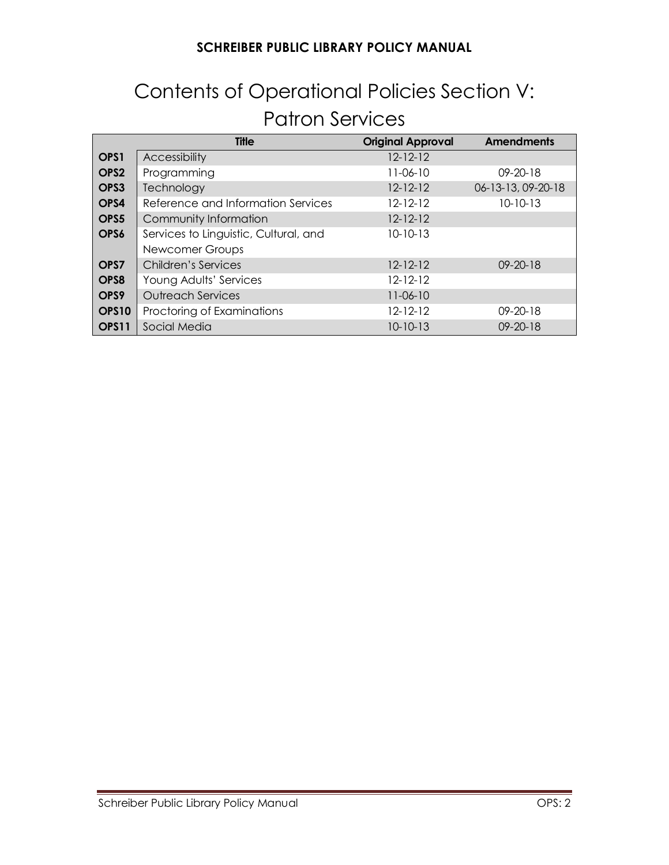# Contents of Operational Policies Section V: Patron Services

|                   | <b>Title</b>                          | <b>Original Approval</b> | <b>Amendments</b>  |
|-------------------|---------------------------------------|--------------------------|--------------------|
| OPS <sub>1</sub>  | <b>Accessibility</b>                  | $12 - 12 - 12$           |                    |
| OPS <sub>2</sub>  | Programming                           | 11-06-10                 | $09 - 20 - 18$     |
| OPS3              | Technology                            | $12 - 12 - 12$           | 06-13-13, 09-20-18 |
| OPS4              | Reference and Information Services    | 12-12-12                 | $10 - 10 - 13$     |
| OPS5              | Community Information                 | $12 - 12 - 12$           |                    |
| OPS6              | Services to Linguistic, Cultural, and | $10 - 10 - 13$           |                    |
|                   | Newcomer Groups                       |                          |                    |
| OPS7              | Children's Services                   | $12 - 12 - 12$           | $09 - 20 - 18$     |
| OPS8              | Young Adults' Services                | $12 - 12 - 12$           |                    |
| OPS9              | <b>Outreach Services</b>              | $11-06-10$               |                    |
| OPS <sub>10</sub> | Proctoring of Examinations            | $12 - 12 - 12$           | $09 - 20 - 18$     |
| OPS11             | Social Media                          | $10 - 10 - 13$           | $09 - 20 - 18$     |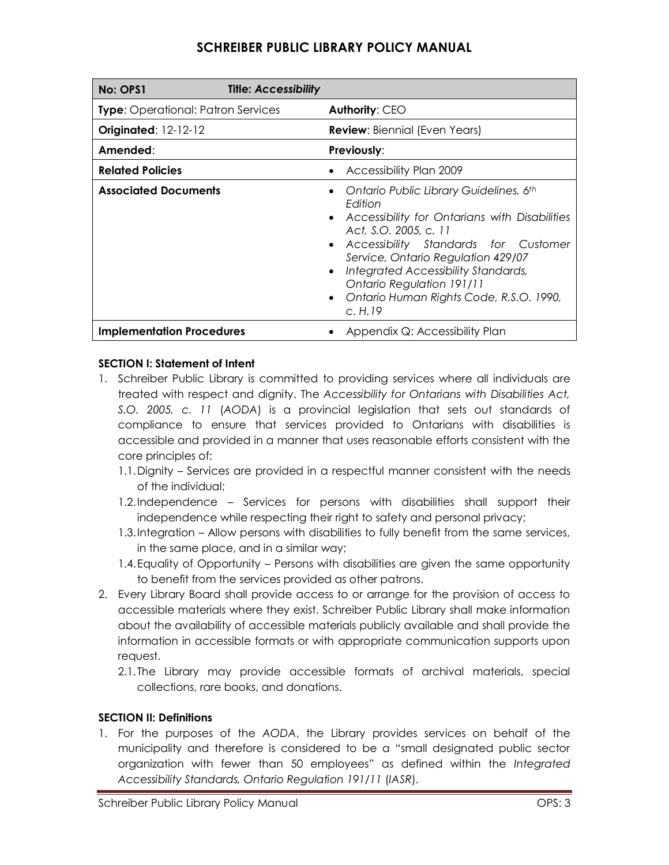| No: OPS1                                  | <b>Title: Accessibility</b> |                                                                                                                                                                                                                                                                                                                                          |
|-------------------------------------------|-----------------------------|------------------------------------------------------------------------------------------------------------------------------------------------------------------------------------------------------------------------------------------------------------------------------------------------------------------------------------------|
| <b>Type:</b> Operational: Patron Services |                             | <b>Authority: CEO</b>                                                                                                                                                                                                                                                                                                                    |
| <b>Originated: 12-12-12</b>               |                             | <b>Review:</b> Biennial (Even Years)                                                                                                                                                                                                                                                                                                     |
| Amended:                                  |                             | <b>Previously:</b>                                                                                                                                                                                                                                                                                                                       |
| <b>Related Policies</b>                   |                             | <b>Accessibility Plan 2009</b>                                                                                                                                                                                                                                                                                                           |
| <b>Associated Documents</b>               |                             | Ontario Public Library Guidelines, 6th<br>Fdition<br>• Accessibility for Ontarians with Disabilities<br>Act, S.O. 2005, c. 11<br>• Accessibility Standards for Customer<br>Service, Ontario Regulation 429/07<br>Integrated Accessibility Standards,<br>Ontario Regulation 191/11<br>Ontario Human Rights Code, R.S.O. 1990,<br>C. H. 19 |
| <b>Implementation Procedures</b>          |                             | Appendix Q: Accessibility Plan                                                                                                                                                                                                                                                                                                           |

#### **SECTION I: Statement of Intent**

- 1. Schreiber Public Library is committed to providing services where all individuals are treated with respect and dignity. The *Accessibility for Ontarians with Disabilities Act, S.O. 2005, c. 11* (*AODA*) is a provincial legislation that sets out standards of compliance to ensure that services provided to Ontarians with disabilities is accessible and provided in a manner that uses reasonable efforts consistent with the core principles of:
	- 1.1.Dignity Services are provided in a respectful manner consistent with the needs of the individual;
	- 1.2.Independence Services for persons with disabilities shall support their independence while respecting their right to safety and personal privacy;
	- 1.3.Integration Allow persons with disabilities to fully benefit from the same services, in the same place, and in a similar way;
	- 1.4.Equality of Opportunity Persons with disabilities are given the same opportunity to benefit from the services provided as other patrons.
- 2. Every Library Board shall provide access to or arrange for the provision of access to accessible materials where they exist. Schreiber Public Library shall make information about the availability of accessible materials publicly available and shall provide the information in accessible formats or with appropriate communication supports upon request.
	- 2.1.The Library may provide accessible formats of archival materials, special collections, rare books, and donations.

#### **SECTION II: Definitions**

1. For the purposes of the *AODA*, the Library provides services on behalf of the municipality and therefore is considered to be a "small designated public sector organization with fewer than 50 employees" as defined within the *Integrated Accessibility Standards, Ontario Regulation 191/11* (*IASR*).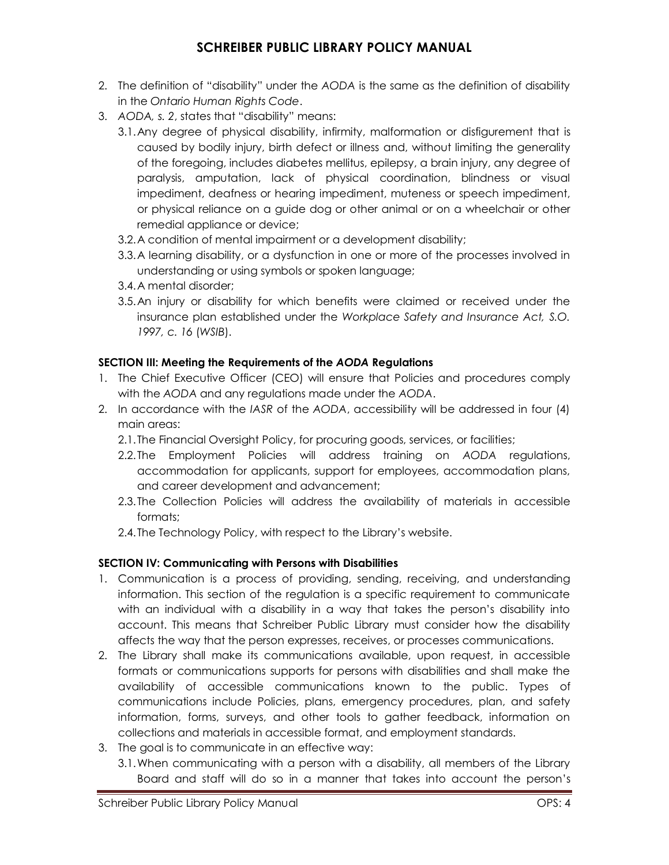- 2. The definition of "disability" under the *AODA* is the same as the definition of disability in the *Ontario Human Rights Code*.
- 3. *AODA, s. 2*, states that "disability" means:
	- 3.1.Any degree of physical disability, infirmity, malformation or disfigurement that is caused by bodily injury, birth defect or illness and, without limiting the generality of the foregoing, includes diabetes mellitus, epilepsy, a brain injury, any degree of paralysis, amputation, lack of physical coordination, blindness or visual impediment, deafness or hearing impediment, muteness or speech impediment, or physical reliance on a guide dog or other animal or on a wheelchair or other remedial appliance or device;
	- 3.2.A condition of mental impairment or a development disability;
	- 3.3.A learning disability, or a dysfunction in one or more of the processes involved in understanding or using symbols or spoken language;
	- 3.4.A mental disorder;
	- 3.5.An injury or disability for which benefits were claimed or received under the insurance plan established under the *Workplace Safety and Insurance Act, S.O. 1997, c. 16* (*WSIB*).

#### **SECTION III: Meeting the Requirements of the** *AODA* **Regulations**

- 1. The Chief Executive Officer (CEO) will ensure that Policies and procedures comply with the *AODA* and any regulations made under the *AODA*.
- 2. In accordance with the *IASR* of the *AODA*, accessibility will be addressed in four (4) main areas:
	- 2.1.The Financial Oversight Policy, for procuring goods, services, or facilities;
	- 2.2.The Employment Policies will address training on *AODA* regulations, accommodation for applicants, support for employees, accommodation plans, and career development and advancement;
	- 2.3.The Collection Policies will address the availability of materials in accessible formats;
	- 2.4.The Technology Policy, with respect to the Library's website.

#### **SECTION IV: Communicating with Persons with Disabilities**

- 1. Communication is a process of providing, sending, receiving, and understanding information. This section of the regulation is a specific requirement to communicate with an individual with a disability in a way that takes the person's disability into account. This means that Schreiber Public Library must consider how the disability affects the way that the person expresses, receives, or processes communications.
- 2. The Library shall make its communications available, upon request, in accessible formats or communications supports for persons with disabilities and shall make the availability of accessible communications known to the public. Types of communications include Policies, plans, emergency procedures, plan, and safety information, forms, surveys, and other tools to gather feedback, information on collections and materials in accessible format, and employment standards.
- 3. The goal is to communicate in an effective way:
	- 3.1.When communicating with a person with a disability, all members of the Library Board and staff will do so in a manner that takes into account the person's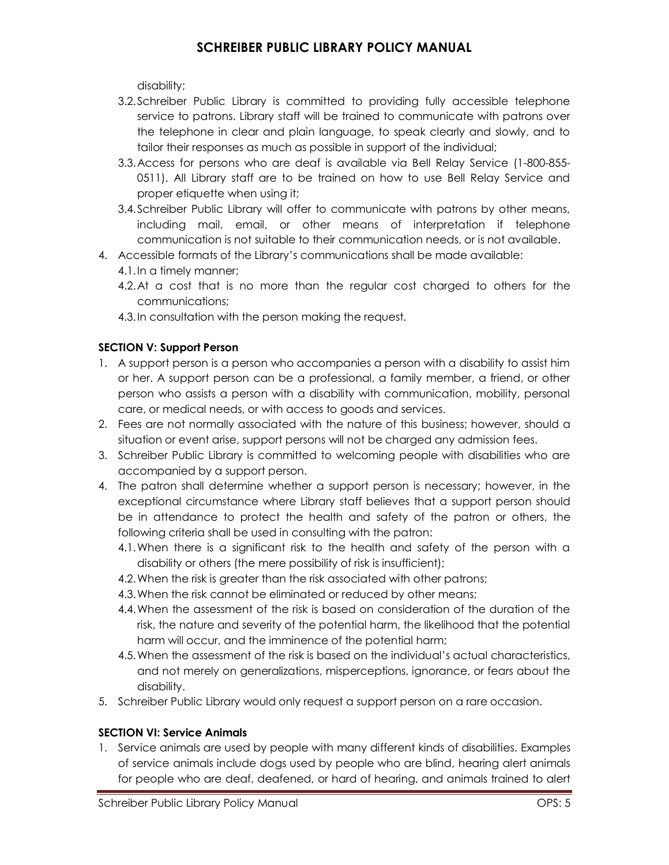disability;

- 3.2.Schreiber Public Library is committed to providing fully accessible telephone service to patrons. Library staff will be trained to communicate with patrons over the telephone in clear and plain language, to speak clearly and slowly, and to tailor their responses as much as possible in support of the individual;
- 3.3.Access for persons who are deaf is available via Bell Relay Service (1-800-855- 0511). All Library staff are to be trained on how to use Bell Relay Service and proper etiquette when using it;
- 3.4.Schreiber Public Library will offer to communicate with patrons by other means, including mail, email, or other means of interpretation if telephone communication is not suitable to their communication needs, or is not available.
- 4. Accessible formats of the Library's communications shall be made available:
	- 4.1.In a timely manner;
	- 4.2.At a cost that is no more than the regular cost charged to others for the communications;
	- 4.3.In consultation with the person making the request.

#### **SECTION V: Support Person**

- 1. A support person is a person who accompanies a person with a disability to assist him or her. A support person can be a professional, a family member, a friend, or other person who assists a person with a disability with communication, mobility, personal care, or medical needs, or with access to goods and services.
- 2. Fees are not normally associated with the nature of this business; however, should a situation or event arise, support persons will not be charged any admission fees.
- 3. Schreiber Public Library is committed to welcoming people with disabilities who are accompanied by a support person.
- 4. The patron shall determine whether a support person is necessary; however, in the exceptional circumstance where Library staff believes that a support person should be in attendance to protect the health and safety of the patron or others, the following criteria shall be used in consulting with the patron:
	- 4.1.When there is a significant risk to the health and safety of the person with a disability or others (the mere possibility of risk is insufficient);
	- 4.2.When the risk is greater than the risk associated with other patrons;
	- 4.3.When the risk cannot be eliminated or reduced by other means;
	- 4.4.When the assessment of the risk is based on consideration of the duration of the risk, the nature and severity of the potential harm, the likelihood that the potential harm will occur, and the imminence of the potential harm;
	- 4.5.When the assessment of the risk is based on the individual's actual characteristics, and not merely on generalizations, misperceptions, ignorance, or fears about the disability.
- 5. Schreiber Public Library would only request a support person on a rare occasion.

#### **SECTION VI: Service Animals**

1. Service animals are used by people with many different kinds of disabilities. Examples of service animals include dogs used by people who are blind, hearing alert animals for people who are deaf, deafened, or hard of hearing, and animals trained to alert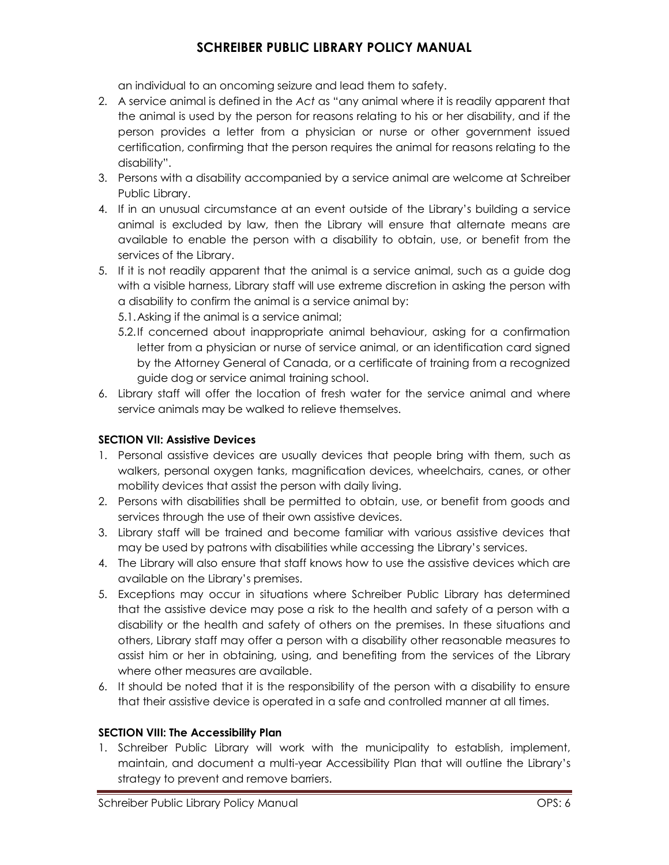an individual to an oncoming seizure and lead them to safety.

- 2. A service animal is defined in the *Act* as "any animal where it is readily apparent that the animal is used by the person for reasons relating to his or her disability, and if the person provides a letter from a physician or nurse or other government issued certification, confirming that the person requires the animal for reasons relating to the disability".
- 3. Persons with a disability accompanied by a service animal are welcome at Schreiber Public Library.
- 4. If in an unusual circumstance at an event outside of the Library's building a service animal is excluded by law, then the Library will ensure that alternate means are available to enable the person with a disability to obtain, use, or benefit from the services of the Library.
- 5. If it is not readily apparent that the animal is a service animal, such as a guide dog with a visible harness, Library staff will use extreme discretion in asking the person with a disability to confirm the animal is a service animal by:
	- 5.1.Asking if the animal is a service animal;
	- 5.2.If concerned about inappropriate animal behaviour, asking for a confirmation letter from a physician or nurse of service animal, or an identification card signed by the Attorney General of Canada, or a certificate of training from a recognized guide dog or service animal training school.
- 6. Library staff will offer the location of fresh water for the service animal and where service animals may be walked to relieve themselves.

### **SECTION VII: Assistive Devices**

- 1. Personal assistive devices are usually devices that people bring with them, such as walkers, personal oxygen tanks, magnification devices, wheelchairs, canes, or other mobility devices that assist the person with daily living.
- 2. Persons with disabilities shall be permitted to obtain, use, or benefit from goods and services through the use of their own assistive devices.
- 3. Library staff will be trained and become familiar with various assistive devices that may be used by patrons with disabilities while accessing the Library's services.
- 4. The Library will also ensure that staff knows how to use the assistive devices which are available on the Library's premises.
- 5. Exceptions may occur in situations where Schreiber Public Library has determined that the assistive device may pose a risk to the health and safety of a person with a disability or the health and safety of others on the premises. In these situations and others, Library staff may offer a person with a disability other reasonable measures to assist him or her in obtaining, using, and benefiting from the services of the Library where other measures are available.
- 6. It should be noted that it is the responsibility of the person with a disability to ensure that their assistive device is operated in a safe and controlled manner at all times.

#### **SECTION VIII: The Accessibility Plan**

1. Schreiber Public Library will work with the municipality to establish, implement, maintain, and document a multi-year Accessibility Plan that will outline the Library's strategy to prevent and remove barriers.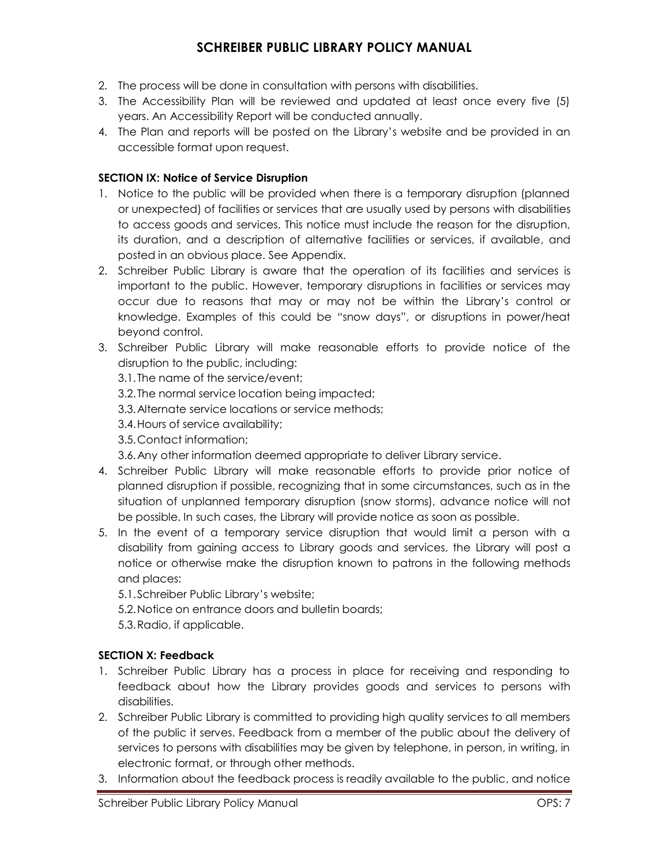- 2. The process will be done in consultation with persons with disabilities.
- 3. The Accessibility Plan will be reviewed and updated at least once every five (5) years. An Accessibility Report will be conducted annually.
- 4. The Plan and reports will be posted on the Library's website and be provided in an accessible format upon request.

#### **SECTION IX: Notice of Service Disruption**

- 1. Notice to the public will be provided when there is a temporary disruption (planned or unexpected) of facilities or services that are usually used by persons with disabilities to access goods and services. This notice must include the reason for the disruption, its duration, and a description of alternative facilities or services, if available, and posted in an obvious place. See Appendix.
- 2. Schreiber Public Library is aware that the operation of its facilities and services is important to the public. However, temporary disruptions in facilities or services may occur due to reasons that may or may not be within the Library's control or knowledge. Examples of this could be "snow days", or disruptions in power/heat beyond control.
- 3. Schreiber Public Library will make reasonable efforts to provide notice of the disruption to the public, including:

3.1.The name of the service/event;

3.2.The normal service location being impacted;

3.3.Alternate service locations or service methods;

3.4.Hours of service availability;

3.5.Contact information;

3.6.Any other information deemed appropriate to deliver Library service.

- 4. Schreiber Public Library will make reasonable efforts to provide prior notice of planned disruption if possible, recognizing that in some circumstances, such as in the situation of unplanned temporary disruption (snow storms), advance notice will not be possible. In such cases, the Library will provide notice as soon as possible.
- 5. In the event of a temporary service disruption that would limit a person with a disability from gaining access to Library goods and services, the Library will post a notice or otherwise make the disruption known to patrons in the following methods and places:

5.1.Schreiber Public Library's website;

5.2.Notice on entrance doors and bulletin boards;

5.3.Radio, if applicable.

### **SECTION X: Feedback**

- 1. Schreiber Public Library has a process in place for receiving and responding to feedback about how the Library provides goods and services to persons with disabilities.
- 2. Schreiber Public Library is committed to providing high quality services to all members of the public it serves. Feedback from a member of the public about the delivery of services to persons with disabilities may be given by telephone, in person, in writing, in electronic format, or through other methods.
- 3. Information about the feedback process is readily available to the public, and notice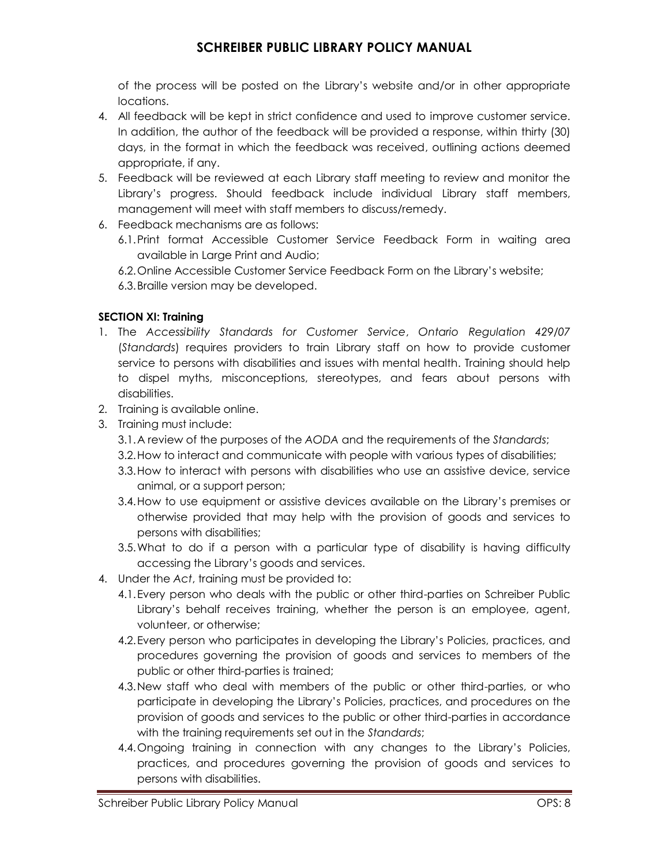of the process will be posted on the Library's website and/or in other appropriate locations.

- 4. All feedback will be kept in strict confidence and used to improve customer service. In addition, the author of the feedback will be provided a response, within thirty (30) days, in the format in which the feedback was received, outlining actions deemed appropriate, if any.
- 5. Feedback will be reviewed at each Library staff meeting to review and monitor the Library's progress. Should feedback include individual Library staff members, management will meet with staff members to discuss/remedy.
- 6. Feedback mechanisms are as follows:
	- 6.1.Print format Accessible Customer Service Feedback Form in waiting area available in Large Print and Audio;
	- 6.2.Online Accessible Customer Service Feedback Form on the Library's website;
	- 6.3.Braille version may be developed.

#### **SECTION XI: Training**

- 1. The *Accessibility Standards for Customer Service*, *Ontario Regulation 429/07* (*Standards*) requires providers to train Library staff on how to provide customer service to persons with disabilities and issues with mental health. Training should help to dispel myths, misconceptions, stereotypes, and fears about persons with disabilities.
- 2. Training is available online.
- 3. Training must include:
	- 3.1.A review of the purposes of the *AODA* and the requirements of the *Standards*;
	- 3.2.How to interact and communicate with people with various types of disabilities;
	- 3.3.How to interact with persons with disabilities who use an assistive device, service animal, or a support person;
	- 3.4.How to use equipment or assistive devices available on the Library's premises or otherwise provided that may help with the provision of goods and services to persons with disabilities;
	- 3.5.What to do if a person with a particular type of disability is having difficulty accessing the Library's goods and services.
- 4. Under the *Act*, training must be provided to:
	- 4.1.Every person who deals with the public or other third-parties on Schreiber Public Library's behalf receives training, whether the person is an employee, agent, volunteer, or otherwise;
	- 4.2.Every person who participates in developing the Library's Policies, practices, and procedures governing the provision of goods and services to members of the public or other third-parties is trained;
	- 4.3.New staff who deal with members of the public or other third-parties, or who participate in developing the Library's Policies, practices, and procedures on the provision of goods and services to the public or other third-parties in accordance with the training requirements set out in the *Standards*;
	- 4.4.Ongoing training in connection with any changes to the Library's Policies, practices, and procedures governing the provision of goods and services to persons with disabilities.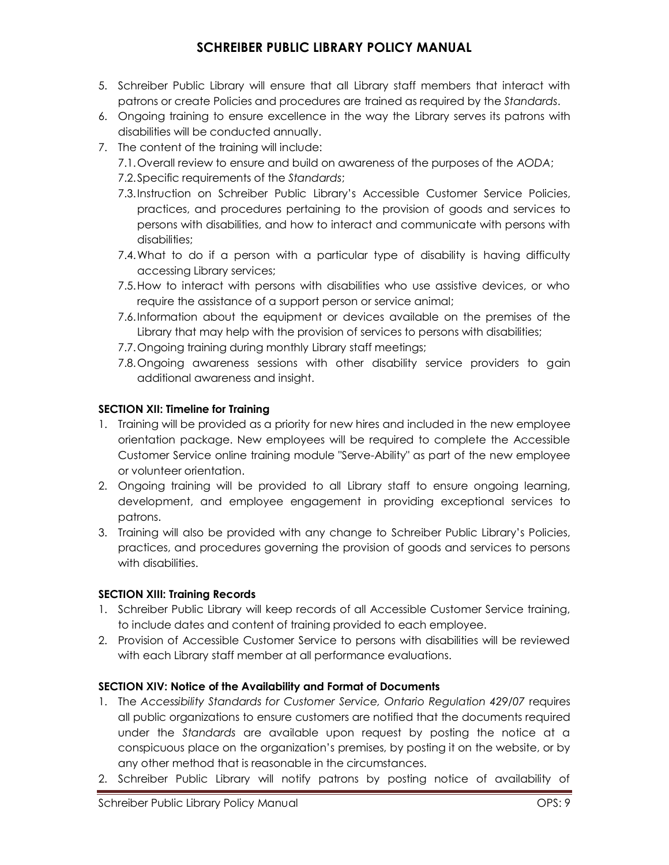- 5. Schreiber Public Library will ensure that all Library staff members that interact with patrons or create Policies and procedures are trained as required by the *Standards*.
- 6. Ongoing training to ensure excellence in the way the Library serves its patrons with disabilities will be conducted annually.
- 7. The content of the training will include:
	- 7.1.Overall review to ensure and build on awareness of the purposes of the *AODA*;
	- 7.2.Specific requirements of the *Standards*;
	- 7.3.Instruction on Schreiber Public Library's Accessible Customer Service Policies, practices, and procedures pertaining to the provision of goods and services to persons with disabilities, and how to interact and communicate with persons with disabilities;
	- 7.4.What to do if a person with a particular type of disability is having difficulty accessing Library services;
	- 7.5.How to interact with persons with disabilities who use assistive devices, or who require the assistance of a support person or service animal;
	- 7.6.Information about the equipment or devices available on the premises of the Library that may help with the provision of services to persons with disabilities;
	- 7.7.Ongoing training during monthly Library staff meetings;
	- 7.8.Ongoing awareness sessions with other disability service providers to gain additional awareness and insight.

### **SECTION XII: Timeline for Training**

- 1. Training will be provided as a priority for new hires and included in the new employee orientation package. New employees will be required to complete the Accessible Customer Service online training module "Serve-Ability" as part of the new employee or volunteer orientation.
- 2. Ongoing training will be provided to all Library staff to ensure ongoing learning, development, and employee engagement in providing exceptional services to patrons.
- 3. Training will also be provided with any change to Schreiber Public Library's Policies, practices, and procedures governing the provision of goods and services to persons with disabilities.

### **SECTION XIII: Training Records**

- 1. Schreiber Public Library will keep records of all Accessible Customer Service training, to include dates and content of training provided to each employee.
- 2. Provision of Accessible Customer Service to persons with disabilities will be reviewed with each Library staff member at all performance evaluations.

### **SECTION XIV: Notice of the Availability and Format of Documents**

- 1. The *Accessibility Standards for Customer Service, Ontario Regulation 429/07* requires all public organizations to ensure customers are notified that the documents required under the *Standards* are available upon request by posting the notice at a conspicuous place on the organization's premises, by posting it on the website, or by any other method that is reasonable in the circumstances.
- 2. Schreiber Public Library will notify patrons by posting notice of availability of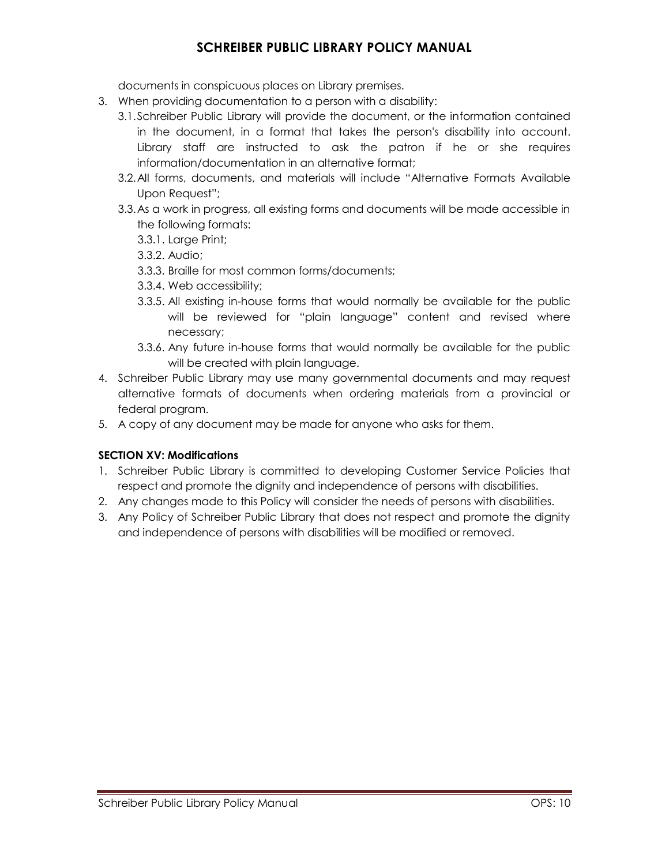documents in conspicuous places on Library premises.

- 3. When providing documentation to a person with a disability:
	- 3.1.Schreiber Public Library will provide the document, or the information contained in the document, in a format that takes the person's disability into account. Library staff are instructed to ask the patron if he or she requires information/documentation in an alternative format;
	- 3.2.All forms, documents, and materials will include "Alternative Formats Available Upon Request";
	- 3.3.As a work in progress, all existing forms and documents will be made accessible in the following formats:
		- 3.3.1. Large Print;
		- 3.3.2. Audio;
		- 3.3.3. Braille for most common forms/documents;
		- 3.3.4. Web accessibility;
		- 3.3.5. All existing in-house forms that would normally be available for the public will be reviewed for "plain language" content and revised where necessary;
		- 3.3.6. Any future in-house forms that would normally be available for the public will be created with plain language.
- 4. Schreiber Public Library may use many governmental documents and may request alternative formats of documents when ordering materials from a provincial or federal program.
- 5. A copy of any document may be made for anyone who asks for them.

### **SECTION XV: Modifications**

- 1. Schreiber Public Library is committed to developing Customer Service Policies that respect and promote the dignity and independence of persons with disabilities.
- 2. Any changes made to this Policy will consider the needs of persons with disabilities.
- 3. Any Policy of Schreiber Public Library that does not respect and promote the dignity and independence of persons with disabilities will be modified or removed.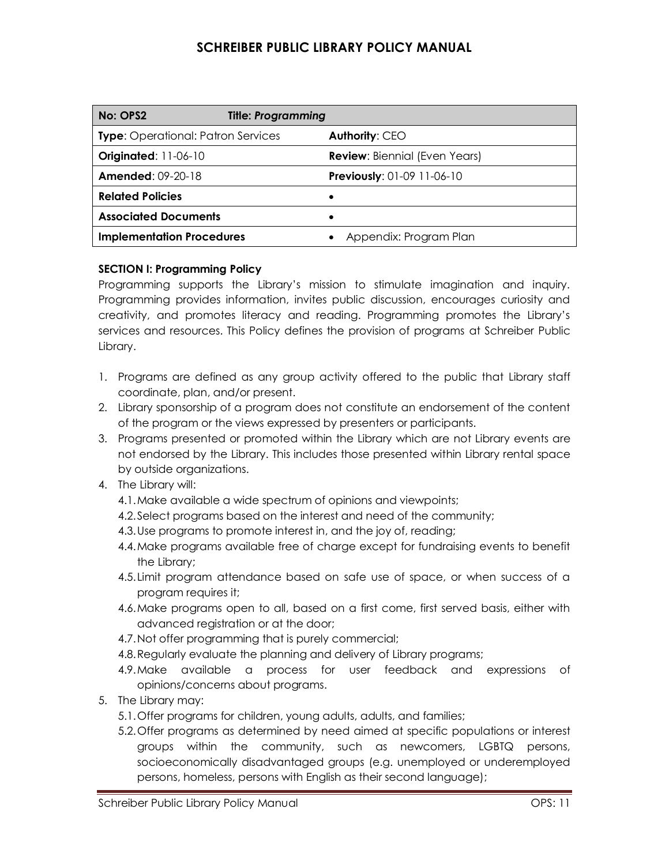| No: OPS2                                  | <b>Title: Programming</b> |                                      |
|-------------------------------------------|---------------------------|--------------------------------------|
| <b>Type:</b> Operational: Patron Services |                           | Authority: CEO                       |
| <b>Originated: 11-06-10</b>               |                           | <b>Review:</b> Biennial (Even Years) |
| <b>Amended: 09-20-18</b>                  |                           | <b>Previously: 01-09 11-06-10</b>    |
| <b>Related Policies</b>                   |                           |                                      |
| <b>Associated Documents</b>               |                           |                                      |
| <b>Implementation Procedures</b>          |                           | Appendix: Program Plan               |

#### **SECTION I: Programming Policy**

Programming supports the Library's mission to stimulate imagination and inquiry. Programming provides information, invites public discussion, encourages curiosity and creativity, and promotes literacy and reading. Programming promotes the Library's services and resources. This Policy defines the provision of programs at Schreiber Public Library.

- 1. Programs are defined as any group activity offered to the public that Library staff coordinate, plan, and/or present.
- 2. Library sponsorship of a program does not constitute an endorsement of the content of the program or the views expressed by presenters or participants.
- 3. Programs presented or promoted within the Library which are not Library events are not endorsed by the Library. This includes those presented within Library rental space by outside organizations.
- 4. The Library will:
	- 4.1.Make available a wide spectrum of opinions and viewpoints;
	- 4.2.Select programs based on the interest and need of the community;
	- 4.3.Use programs to promote interest in, and the joy of, reading;
	- 4.4.Make programs available free of charge except for fundraising events to benefit the Library;
	- 4.5.Limit program attendance based on safe use of space, or when success of a program requires it;
	- 4.6.Make programs open to all, based on a first come, first served basis, either with advanced registration or at the door;
	- 4.7.Not offer programming that is purely commercial;
	- 4.8.Regularly evaluate the planning and delivery of Library programs;
	- 4.9.Make available a process for user feedback and expressions of opinions/concerns about programs.
- 5. The Library may:
	- 5.1.Offer programs for children, young adults, adults, and families;
	- 5.2.Offer programs as determined by need aimed at specific populations or interest groups within the community, such as newcomers, LGBTQ persons, socioeconomically disadvantaged groups (e.g. unemployed or underemployed persons, homeless, persons with English as their second language);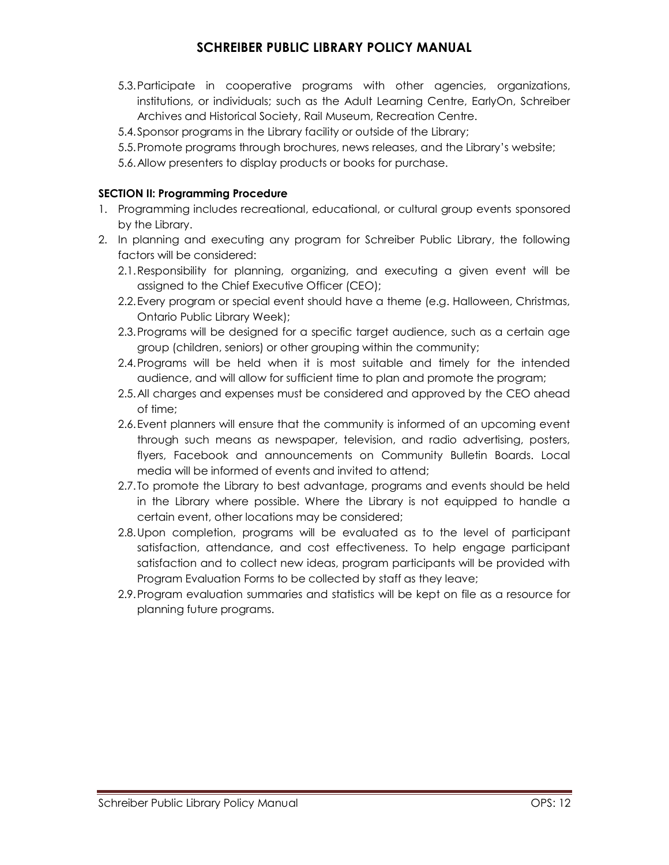- 5.3.Participate in cooperative programs with other agencies, organizations, institutions, or individuals; such as the Adult Learning Centre, EarlyOn, Schreiber Archives and Historical Society, Rail Museum, Recreation Centre.
- 5.4.Sponsor programs in the Library facility or outside of the Library;
- 5.5.Promote programs through brochures, news releases, and the Library's website;
- 5.6.Allow presenters to display products or books for purchase.

#### **SECTION II: Programming Procedure**

- 1. Programming includes recreational, educational, or cultural group events sponsored by the Library.
- 2. In planning and executing any program for Schreiber Public Library, the following factors will be considered:
	- 2.1.Responsibility for planning, organizing, and executing a given event will be assigned to the Chief Executive Officer (CEO);
	- 2.2.Every program or special event should have a theme (e.g. Halloween, Christmas, Ontario Public Library Week);
	- 2.3.Programs will be designed for a specific target audience, such as a certain age group (children, seniors) or other grouping within the community;
	- 2.4.Programs will be held when it is most suitable and timely for the intended audience, and will allow for sufficient time to plan and promote the program;
	- 2.5.All charges and expenses must be considered and approved by the CEO ahead of time;
	- 2.6.Event planners will ensure that the community is informed of an upcoming event through such means as newspaper, television, and radio advertising, posters, flyers, Facebook and announcements on Community Bulletin Boards. Local media will be informed of events and invited to attend;
	- 2.7.To promote the Library to best advantage, programs and events should be held in the Library where possible. Where the Library is not equipped to handle a certain event, other locations may be considered;
	- 2.8.Upon completion, programs will be evaluated as to the level of participant satisfaction, attendance, and cost effectiveness. To help engage participant satisfaction and to collect new ideas, program participants will be provided with Program Evaluation Forms to be collected by staff as they leave;
	- 2.9.Program evaluation summaries and statistics will be kept on file as a resource for planning future programs.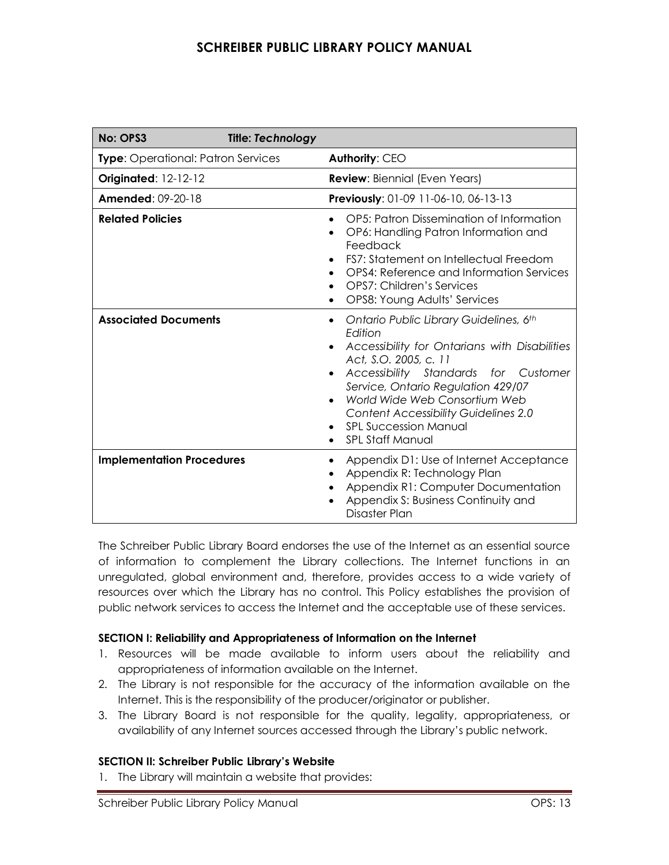| No: OPS3                                  | <b>Title: Technology</b> |                                                                                                                                                                                                                                                                                                                                                                                |
|-------------------------------------------|--------------------------|--------------------------------------------------------------------------------------------------------------------------------------------------------------------------------------------------------------------------------------------------------------------------------------------------------------------------------------------------------------------------------|
| <b>Type:</b> Operational: Patron Services |                          | Authority: CEO                                                                                                                                                                                                                                                                                                                                                                 |
| <b>Originated: 12-12-12</b>               |                          | <b>Review:</b> Biennial (Even Years)                                                                                                                                                                                                                                                                                                                                           |
| <b>Amended: 09-20-18</b>                  |                          | Previously: 01-09 11-06-10, 06-13-13                                                                                                                                                                                                                                                                                                                                           |
| <b>Related Policies</b>                   |                          | OP5: Patron Dissemination of Information<br>OP6: Handling Patron Information and<br>Feedback<br>FS7: Statement on Intellectual Freedom<br>OPS4: Reference and Information Services<br>OPS7: Children's Services<br>$\bullet$<br>OPS8: Young Adults' Services                                                                                                                   |
| <b>Associated Documents</b>               |                          | Ontario Public Library Guidelines, 6th<br>Edition<br>Accessibility for Ontarians with Disabilities<br>$\bullet$<br>Act, S.O. 2005, c. 11<br>Accessibility Standards for Customer<br>Service, Ontario Regulation 429/07<br>World Wide Web Consortium Web<br>$\bullet$<br><b>Content Accessibility Guidelines 2.0</b><br><b>SPL Succession Manual</b><br><b>SPL Staff Manual</b> |
| <b>Implementation Procedures</b>          |                          | Appendix D1: Use of Internet Acceptance<br>Appendix R: Technology Plan<br>Appendix R1: Computer Documentation<br>Appendix S: Business Continuity and<br>Disaster Plan                                                                                                                                                                                                          |

The Schreiber Public Library Board endorses the use of the Internet as an essential source of information to complement the Library collections. The Internet functions in an unregulated, global environment and, therefore, provides access to a wide variety of resources over which the Library has no control. This Policy establishes the provision of public network services to access the Internet and the acceptable use of these services.

#### **SECTION I: Reliability and Appropriateness of Information on the Internet**

- 1. Resources will be made available to inform users about the reliability and appropriateness of information available on the Internet.
- 2. The Library is not responsible for the accuracy of the information available on the Internet. This is the responsibility of the producer/originator or publisher.
- 3. The Library Board is not responsible for the quality, legality, appropriateness, or availability of any Internet sources accessed through the Library's public network.

#### **SECTION II: Schreiber Public Library's Website**

1. The Library will maintain a website that provides: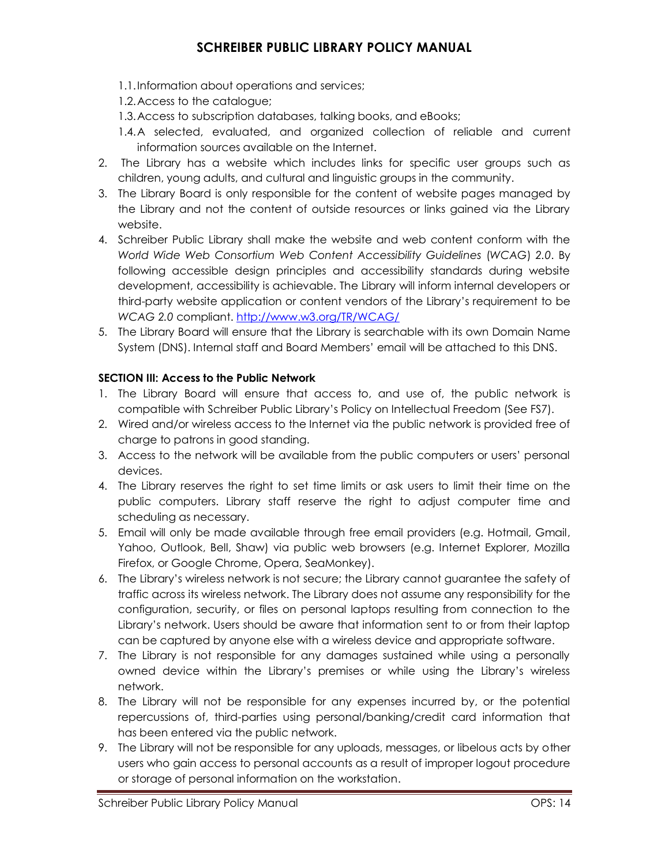1.1.Information about operations and services;

1.2.Access to the catalogue;

1.3.Access to subscription databases, talking books, and eBooks;

- 1.4.A selected, evaluated, and organized collection of reliable and current information sources available on the Internet.
- 2. The Library has a website which includes links for specific user groups such as children, young adults, and cultural and linguistic groups in the community.
- 3. The Library Board is only responsible for the content of website pages managed by the Library and not the content of outside resources or links gained via the Library website.
- 4. Schreiber Public Library shall make the website and web content conform with the *World Wide Web Consortium Web Content Accessibility Guidelines* (*WCAG*) *2.0*. By following accessible design principles and accessibility standards during website development, accessibility is achievable. The Library will inform internal developers or third-party website application or content vendors of the Library's requirement to be *WCAG 2.0* compliant. <http://www.w3.org/TR/WCAG/>
- 5. The Library Board will ensure that the Library is searchable with its own Domain Name System (DNS). Internal staff and Board Members' email will be attached to this DNS.

#### **SECTION III: Access to the Public Network**

- 1. The Library Board will ensure that access to, and use of, the public network is compatible with Schreiber Public Library's Policy on Intellectual Freedom (See FS7).
- 2. Wired and/or wireless access to the Internet via the public network is provided free of charge to patrons in good standing.
- 3. Access to the network will be available from the public computers or users' personal devices.
- 4. The Library reserves the right to set time limits or ask users to limit their time on the public computers. Library staff reserve the right to adjust computer time and scheduling as necessary.
- 5. Email will only be made available through free email providers (e.g. Hotmail, Gmail, Yahoo, Outlook, Bell, Shaw) via public web browsers (e.g. Internet Explorer, Mozilla Firefox, or Google Chrome, Opera, SeaMonkey).
- 6. The Library's wireless network is not secure; the Library cannot guarantee the safety of traffic across its wireless network. The Library does not assume any responsibility for the configuration, security, or files on personal laptops resulting from connection to the Library's network. Users should be aware that information sent to or from their laptop can be captured by anyone else with a wireless device and appropriate software.
- 7. The Library is not responsible for any damages sustained while using a personally owned device within the Library's premises or while using the Library's wireless network.
- 8. The Library will not be responsible for any expenses incurred by, or the potential repercussions of, third-parties using personal/banking/credit card information that has been entered via the public network.
- 9. The Library will not be responsible for any uploads, messages, or libelous acts by other users who gain access to personal accounts as a result of improper logout procedure or storage of personal information on the workstation.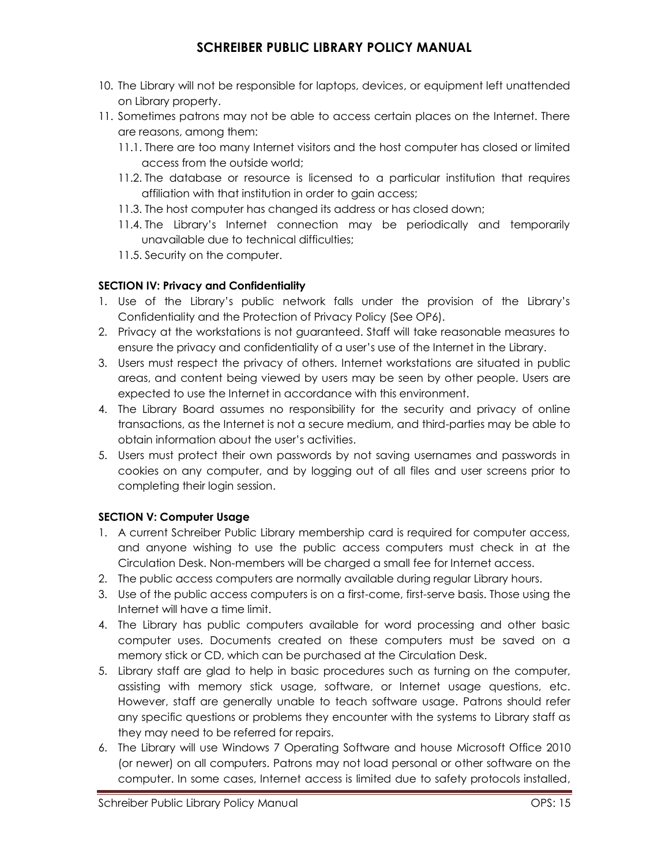- 10. The Library will not be responsible for laptops, devices, or equipment left unattended on Library property.
- 11. Sometimes patrons may not be able to access certain places on the Internet. There are reasons, among them:
	- 11.1. There are too many Internet visitors and the host computer has closed or limited access from the outside world;
	- 11.2. The database or resource is licensed to a particular institution that requires affiliation with that institution in order to gain access;
	- 11.3. The host computer has changed its address or has closed down;
	- 11.4. The Library's Internet connection may be periodically and temporarily unavailable due to technical difficulties;
	- 11.5. Security on the computer.

### **SECTION IV: Privacy and Confidentiality**

- 1. Use of the Library's public network falls under the provision of the Library's Confidentiality and the Protection of Privacy Policy (See OP6).
- 2. Privacy at the workstations is not guaranteed. Staff will take reasonable measures to ensure the privacy and confidentiality of a user's use of the Internet in the Library.
- 3. Users must respect the privacy of others. Internet workstations are situated in public areas, and content being viewed by users may be seen by other people. Users are expected to use the Internet in accordance with this environment.
- 4. The Library Board assumes no responsibility for the security and privacy of online transactions, as the Internet is not a secure medium, and third-parties may be able to obtain information about the user's activities.
- 5. Users must protect their own passwords by not saving usernames and passwords in cookies on any computer, and by logging out of all files and user screens prior to completing their login session.

### **SECTION V: Computer Usage**

- 1. A current Schreiber Public Library membership card is required for computer access, and anyone wishing to use the public access computers must check in at the Circulation Desk. Non-members will be charged a small fee for Internet access.
- 2. The public access computers are normally available during regular Library hours.
- 3. Use of the public access computers is on a first-come, first-serve basis. Those using the Internet will have a time limit.
- 4. The Library has public computers available for word processing and other basic computer uses. Documents created on these computers must be saved on a memory stick or CD, which can be purchased at the Circulation Desk.
- 5. Library staff are glad to help in basic procedures such as turning on the computer, assisting with memory stick usage, software, or Internet usage questions, etc. However, staff are generally unable to teach software usage. Patrons should refer any specific questions or problems they encounter with the systems to Library staff as they may need to be referred for repairs.
- 6. The Library will use Windows 7 Operating Software and house Microsoft Office 2010 (or newer) on all computers. Patrons may not load personal or other software on the computer. In some cases, Internet access is limited due to safety protocols installed,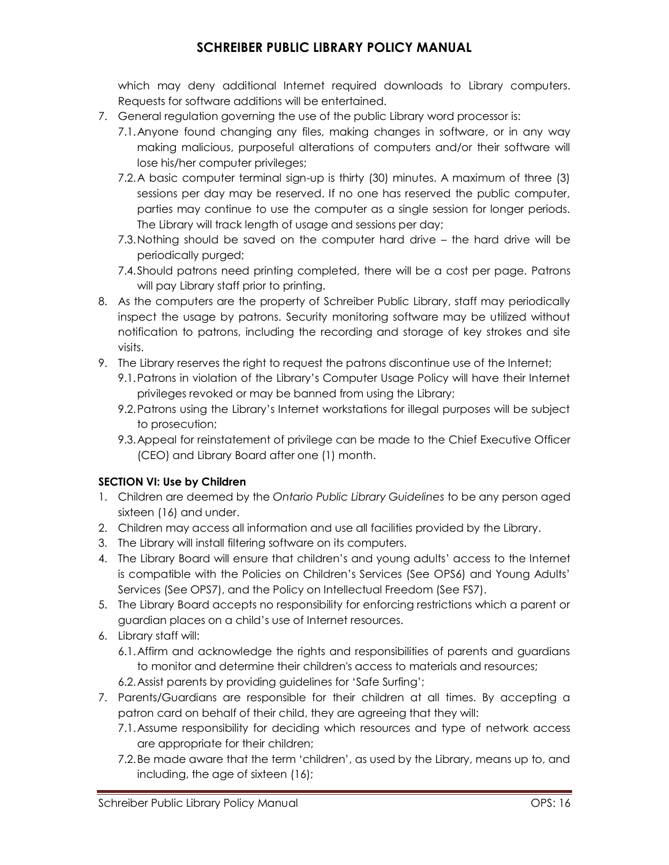which may deny additional Internet required downloads to Library computers. Requests for software additions will be entertained.

- 7. General regulation governing the use of the public Library word processor is:
	- 7.1.Anyone found changing any files, making changes in software, or in any way making malicious, purposeful alterations of computers and/or their software will lose his/her computer privileges;
	- 7.2.A basic computer terminal sign-up is thirty (30) minutes. A maximum of three (3) sessions per day may be reserved. If no one has reserved the public computer, parties may continue to use the computer as a single session for longer periods. The Library will track length of usage and sessions per day;
	- 7.3.Nothing should be saved on the computer hard drive the hard drive will be periodically purged;
	- 7.4.Should patrons need printing completed, there will be a cost per page. Patrons will pay Library staff prior to printing.
- 8. As the computers are the property of Schreiber Public Library, staff may periodically inspect the usage by patrons. Security monitoring software may be utilized without notification to patrons, including the recording and storage of key strokes and site visits.
- 9. The Library reserves the right to request the patrons discontinue use of the Internet;
	- 9.1.Patrons in violation of the Library's Computer Usage Policy will have their Internet privileges revoked or may be banned from using the Library;
	- 9.2.Patrons using the Library's Internet workstations for illegal purposes will be subject to prosecution;
	- 9.3.Appeal for reinstatement of privilege can be made to the Chief Executive Officer (CEO) and Library Board after one (1) month.

### **SECTION VI: Use by Children**

- 1. Children are deemed by the *Ontario Public Library Guidelines* to be any person aged sixteen (16) and under.
- 2. Children may access all information and use all facilities provided by the Library.
- 3. The Library will install filtering software on its computers.
- 4. The Library Board will ensure that children's and young adults' access to the Internet is compatible with the Policies on Children's Services (See OPS6) and Young Adults' Services (See OPS7), and the Policy on Intellectual Freedom (See FS7).
- 5. The Library Board accepts no responsibility for enforcing restrictions which a parent or guardian places on a child's use of Internet resources.
- 6. Library staff will:
	- 6.1.Affirm and acknowledge the rights and responsibilities of parents and guardians to monitor and determine their children's access to materials and resources;
	- 6.2.Assist parents by providing guidelines for 'Safe Surfing';
- 7. Parents/Guardians are responsible for their children at all times. By accepting a patron card on behalf of their child, they are agreeing that they will:
	- 7.1.Assume responsibility for deciding which resources and type of network access are appropriate for their children;
	- 7.2.Be made aware that the term 'children', as used by the Library, means up to, and including, the age of sixteen (16);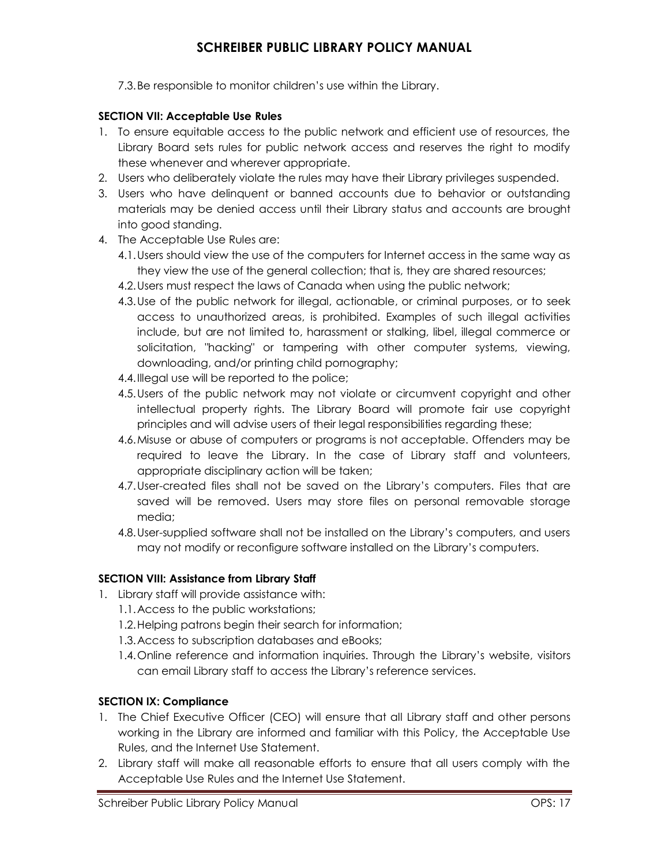7.3.Be responsible to monitor children's use within the Library.

#### **SECTION VII: Acceptable Use Rules**

- 1. To ensure equitable access to the public network and efficient use of resources, the Library Board sets rules for public network access and reserves the right to modify these whenever and wherever appropriate.
- 2. Users who deliberately violate the rules may have their Library privileges suspended.
- 3. Users who have delinquent or banned accounts due to behavior or outstanding materials may be denied access until their Library status and accounts are brought into good standing.
- 4. The Acceptable Use Rules are:
	- 4.1.Users should view the use of the computers for Internet access in the same way as they view the use of the general collection; that is, they are shared resources;
	- 4.2.Users must respect the laws of Canada when using the public network;
	- 4.3.Use of the public network for illegal, actionable, or criminal purposes, or to seek access to unauthorized areas, is prohibited. Examples of such illegal activities include, but are not limited to, harassment or stalking, libel, illegal commerce or solicitation, "hacking" or tampering with other computer systems, viewing, downloading, and/or printing child pornography;
	- 4.4.Illegal use will be reported to the police;
	- 4.5.Users of the public network may not violate or circumvent copyright and other intellectual property rights. The Library Board will promote fair use copyright principles and will advise users of their legal responsibilities regarding these;
	- 4.6.Misuse or abuse of computers or programs is not acceptable. Offenders may be required to leave the Library. In the case of Library staff and volunteers, appropriate disciplinary action will be taken;
	- 4.7.User-created files shall not be saved on the Library's computers. Files that are saved will be removed. Users may store files on personal removable storage media;
	- 4.8.User-supplied software shall not be installed on the Library's computers, and users may not modify or reconfigure software installed on the Library's computers.

#### **SECTION VIII: Assistance from Library Staff**

- 1. Library staff will provide assistance with:
	- 1.1.Access to the public workstations;
	- 1.2.Helping patrons begin their search for information;
	- 1.3.Access to subscription databases and eBooks;
	- 1.4.Online reference and information inquiries. Through the Library's website, visitors can email Library staff to access the Library's reference services.

#### **SECTION IX: Compliance**

- 1. The Chief Executive Officer (CEO) will ensure that all Library staff and other persons working in the Library are informed and familiar with this Policy, the Acceptable Use Rules, and the Internet Use Statement.
- 2. Library staff will make all reasonable efforts to ensure that all users comply with the Acceptable Use Rules and the Internet Use Statement.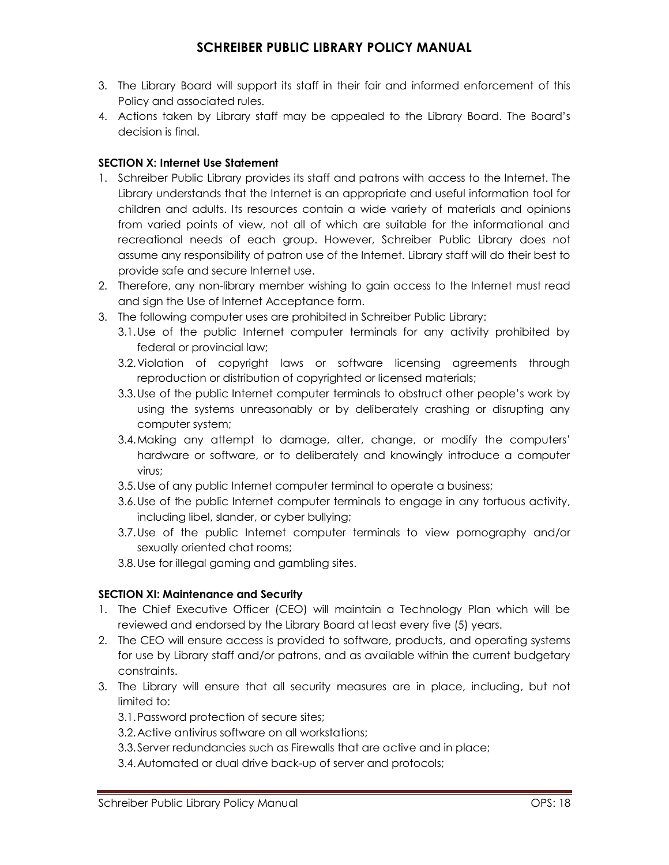- 3. The Library Board will support its staff in their fair and informed enforcement of this Policy and associated rules.
- 4. Actions taken by Library staff may be appealed to the Library Board. The Board's decision is final.

#### **SECTION X: Internet Use Statement**

- 1. Schreiber Public Library provides its staff and patrons with access to the Internet. The Library understands that the Internet is an appropriate and useful information tool for children and adults. Its resources contain a wide variety of materials and opinions from varied points of view, not all of which are suitable for the informational and recreational needs of each group. However, Schreiber Public Library does not assume any responsibility of patron use of the Internet. Library staff will do their best to provide safe and secure Internet use.
- 2. Therefore, any non-library member wishing to gain access to the Internet must read and sign the Use of Internet Acceptance form.
- 3. The following computer uses are prohibited in Schreiber Public Library:
	- 3.1.Use of the public Internet computer terminals for any activity prohibited by federal or provincial law;
	- 3.2.Violation of copyright laws or software licensing agreements through reproduction or distribution of copyrighted or licensed materials;
	- 3.3.Use of the public Internet computer terminals to obstruct other people's work by using the systems unreasonably or by deliberately crashing or disrupting any computer system;
	- 3.4.Making any attempt to damage, alter, change, or modify the computers' hardware or software, or to deliberately and knowingly introduce a computer virus;
	- 3.5.Use of any public Internet computer terminal to operate a business;
	- 3.6.Use of the public Internet computer terminals to engage in any tortuous activity, including libel, slander, or cyber bullying;
	- 3.7.Use of the public Internet computer terminals to view pornography and/or sexually oriented chat rooms;
	- 3.8.Use for illegal gaming and gambling sites.

### **SECTION XI: Maintenance and Security**

- 1. The Chief Executive Officer (CEO) will maintain a Technology Plan which will be reviewed and endorsed by the Library Board at least every five (5) years.
- 2. The CEO will ensure access is provided to software, products, and operating systems for use by Library staff and/or patrons, and as available within the current budgetary constraints.
- 3. The Library will ensure that all security measures are in place, including, but not limited to:

3.1.Password protection of secure sites;

3.2.Active antivirus software on all workstations;

- 3.3.Server redundancies such as Firewalls that are active and in place;
- 3.4.Automated or dual drive back-up of server and protocols;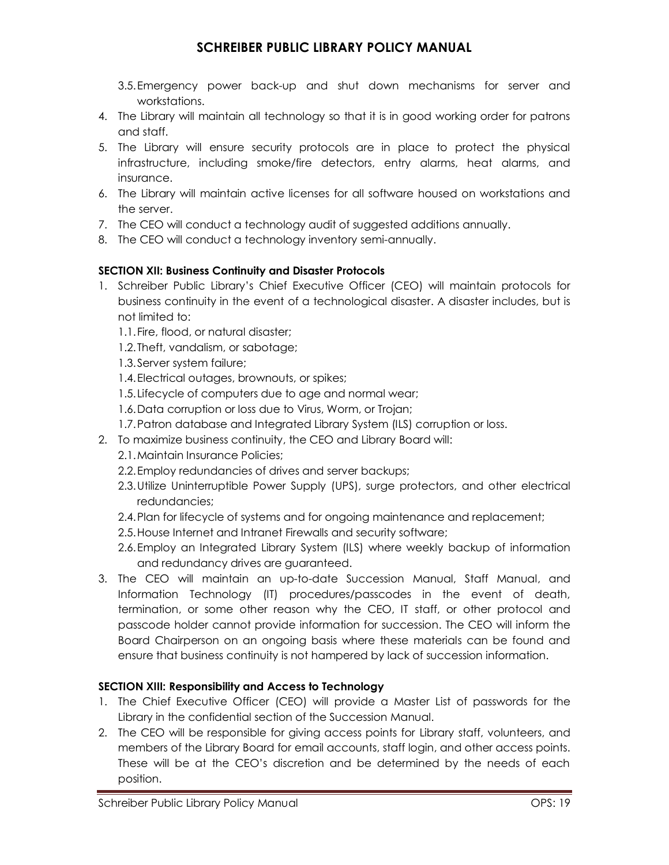- 3.5.Emergency power back-up and shut down mechanisms for server and workstations.
- 4. The Library will maintain all technology so that it is in good working order for patrons and staff.
- 5. The Library will ensure security protocols are in place to protect the physical infrastructure, including smoke/fire detectors, entry alarms, heat alarms, and insurance.
- 6. The Library will maintain active licenses for all software housed on workstations and the server.
- 7. The CEO will conduct a technology audit of suggested additions annually.
- 8. The CEO will conduct a technology inventory semi-annually.

#### **SECTION XII: Business Continuity and Disaster Protocols**

- 1. Schreiber Public Library's Chief Executive Officer (CEO) will maintain protocols for business continuity in the event of a technological disaster. A disaster includes, but is not limited to:
	- 1.1.Fire, flood, or natural disaster;
	- 1.2.Theft, vandalism, or sabotage;
	- 1.3.Server system failure;
	- 1.4.Electrical outages, brownouts, or spikes;
	- 1.5.Lifecycle of computers due to age and normal wear;
	- 1.6.Data corruption or loss due to Virus, Worm, or Trojan;
	- 1.7.Patron database and Integrated Library System (ILS) corruption or loss.
- 2. To maximize business continuity, the CEO and Library Board will:
	- 2.1.Maintain Insurance Policies;
	- 2.2.Employ redundancies of drives and server backups;
	- 2.3.Utilize Uninterruptible Power Supply (UPS), surge protectors, and other electrical redundancies;
	- 2.4.Plan for lifecycle of systems and for ongoing maintenance and replacement;
	- 2.5.House Internet and Intranet Firewalls and security software;
	- 2.6.Employ an Integrated Library System (ILS) where weekly backup of information and redundancy drives are guaranteed.
- 3. The CEO will maintain an up-to-date Succession Manual, Staff Manual, and Information Technology (IT) procedures/passcodes in the event of death, termination, or some other reason why the CEO, IT staff, or other protocol and passcode holder cannot provide information for succession. The CEO will inform the Board Chairperson on an ongoing basis where these materials can be found and ensure that business continuity is not hampered by lack of succession information.

### **SECTION XIII: Responsibility and Access to Technology**

- 1. The Chief Executive Officer (CEO) will provide a Master List of passwords for the Library in the confidential section of the Succession Manual.
- 2. The CEO will be responsible for giving access points for Library staff, volunteers, and members of the Library Board for email accounts, staff login, and other access points. These will be at the CEO's discretion and be determined by the needs of each position.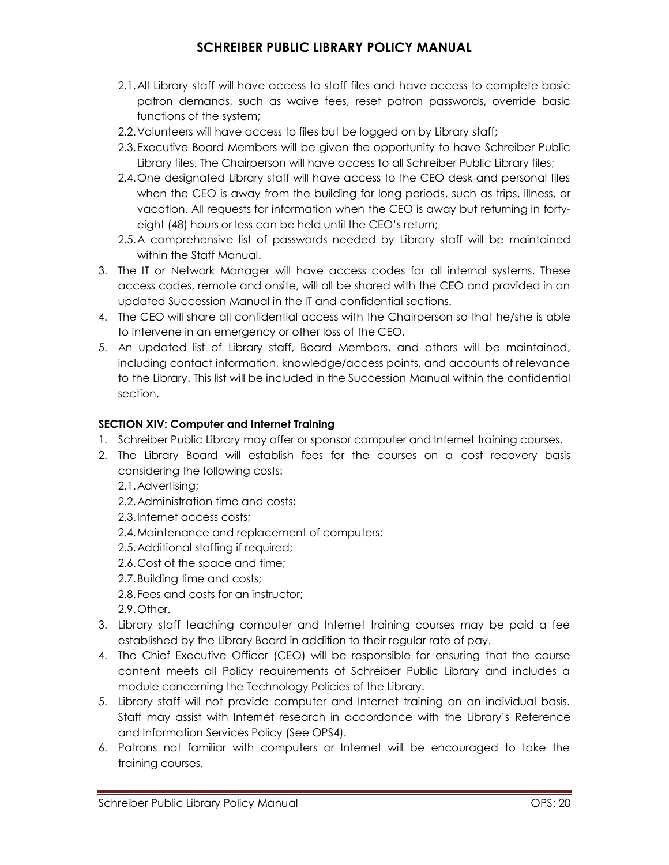- 2.1.All Library staff will have access to staff files and have access to complete basic patron demands, such as waive fees, reset patron passwords, override basic functions of the system;
- 2.2.Volunteers will have access to files but be logged on by Library staff;
- 2.3.Executive Board Members will be given the opportunity to have Schreiber Public Library files. The Chairperson will have access to all Schreiber Public Library files;
- 2.4.One designated Library staff will have access to the CEO desk and personal files when the CEO is away from the building for long periods, such as trips, illness, or vacation. All requests for information when the CEO is away but returning in fortyeight (48) hours or less can be held until the CEO's return;
- 2.5.A comprehensive list of passwords needed by Library staff will be maintained within the Staff Manual.
- 3. The IT or Network Manager will have access codes for all internal systems. These access codes, remote and onsite, will all be shared with the CEO and provided in an updated Succession Manual in the IT and confidential sections.
- 4. The CEO will share all confidential access with the Chairperson so that he/she is able to intervene in an emergency or other loss of the CEO.
- 5. An updated list of Library staff, Board Members, and others will be maintained, including contact information, knowledge/access points, and accounts of relevance to the Library. This list will be included in the Succession Manual within the confidential section.

#### **SECTION XIV: Computer and Internet Training**

- 1. Schreiber Public Library may offer or sponsor computer and Internet training courses.
- 2. The Library Board will establish fees for the courses on a cost recovery basis considering the following costs:

2.1.Advertising;

- 2.2.Administration time and costs;
- 2.3.Internet access costs;
- 2.4.Maintenance and replacement of computers;
- 2.5.Additional staffing if required;
- 2.6.Cost of the space and time;
- 2.7.Building time and costs;
- 2.8.Fees and costs for an instructor;

2.9.Other.

- 3. Library staff teaching computer and Internet training courses may be paid a fee established by the Library Board in addition to their regular rate of pay.
- 4. The Chief Executive Officer (CEO) will be responsible for ensuring that the course content meets all Policy requirements of Schreiber Public Library and includes a module concerning the Technology Policies of the Library.
- 5. Library staff will not provide computer and Internet training on an individual basis. Staff may assist with Internet research in accordance with the Library's Reference and Information Services Policy (See OPS4).
- 6. Patrons not familiar with computers or Internet will be encouraged to take the training courses.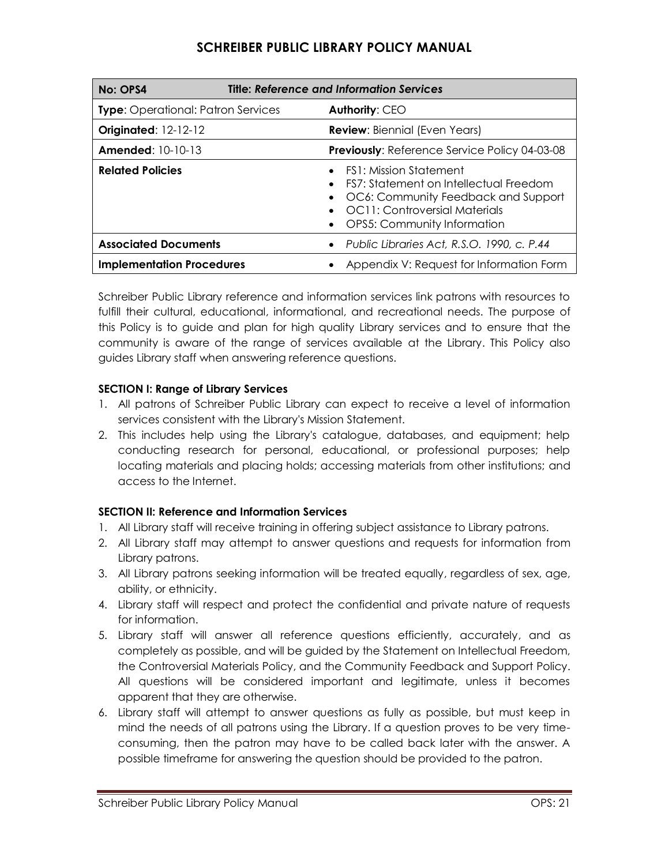| No: OPS4                                  | <b>Title: Reference and Information Services</b> |                                                                                                                                                                                |
|-------------------------------------------|--------------------------------------------------|--------------------------------------------------------------------------------------------------------------------------------------------------------------------------------|
| <b>Type:</b> Operational: Patron Services |                                                  | <b>Authority: CEO</b>                                                                                                                                                          |
| <b>Originated: 12-12-12</b>               |                                                  | <b>Review:</b> Biennial (Even Years)                                                                                                                                           |
| <b>Amended: 10-10-13</b>                  |                                                  | <b>Previously: Reference Service Policy 04-03-08</b>                                                                                                                           |
| <b>Related Policies</b>                   |                                                  | <b>FS1: Mission Statement</b><br>FS7: Statement on Intellectual Freedom<br>OC6: Community Feedback and Support<br>OC11: Controversial Materials<br>OPS5: Community Information |
| <b>Associated Documents</b>               |                                                  | Public Libraries Act, R.S.O. 1990, c. P.44                                                                                                                                     |
| <b>Implementation Procedures</b>          |                                                  | Appendix V: Request for Information Form                                                                                                                                       |

Schreiber Public Library reference and information services link patrons with resources to fulfill their cultural, educational, informational, and recreational needs. The purpose of this Policy is to guide and plan for high quality Library services and to ensure that the community is aware of the range of services available at the Library. This Policy also guides Library staff when answering reference questions.

#### **SECTION I: Range of Library Services**

- 1. All patrons of Schreiber Public Library can expect to receive a level of information services consistent with the Library's Mission Statement.
- 2. This includes help using the Library's catalogue, databases, and equipment; help conducting research for personal, educational, or professional purposes; help locating materials and placing holds; accessing materials from other institutions; and access to the Internet.

### **SECTION II: Reference and Information Services**

- 1. All Library staff will receive training in offering subject assistance to Library patrons.
- 2. All Library staff may attempt to answer questions and requests for information from Library patrons.
- 3. All Library patrons seeking information will be treated equally, regardless of sex, age, ability, or ethnicity.
- 4. Library staff will respect and protect the confidential and private nature of requests for information.
- 5. Library staff will answer all reference questions efficiently, accurately, and as completely as possible, and will be guided by the Statement on Intellectual Freedom, the Controversial Materials Policy, and the Community Feedback and Support Policy. All questions will be considered important and legitimate, unless it becomes apparent that they are otherwise.
- 6. Library staff will attempt to answer questions as fully as possible, but must keep in mind the needs of all patrons using the Library. If a question proves to be very timeconsuming, then the patron may have to be called back later with the answer. A possible timeframe for answering the question should be provided to the patron.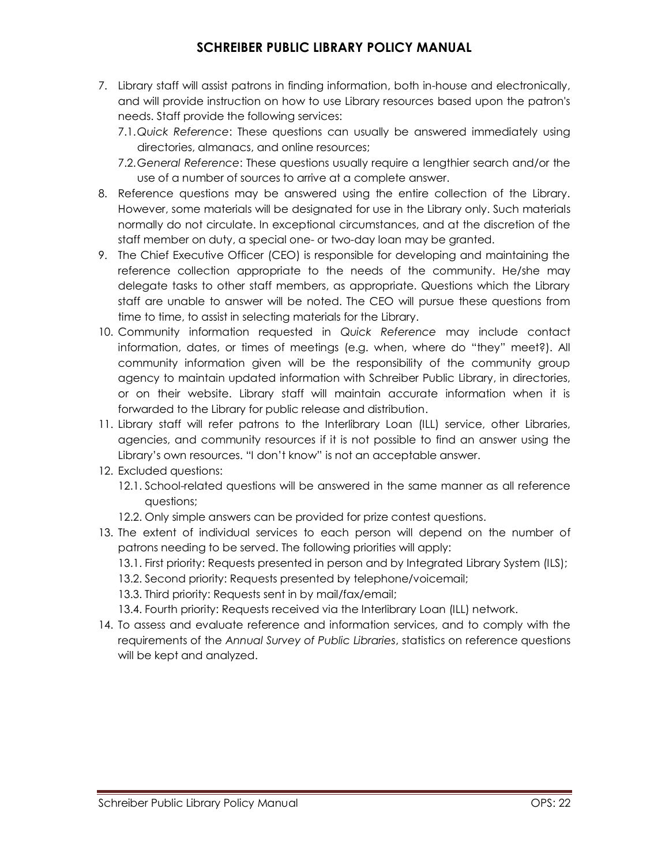- 7. Library staff will assist patrons in finding information, both in-house and electronically, and will provide instruction on how to use Library resources based upon the patron's needs. Staff provide the following services:
	- 7.1.*Quick Reference*: These questions can usually be answered immediately using directories, almanacs, and online resources;
	- 7.2.*General Reference*: These questions usually require a lengthier search and/or the use of a number of sources to arrive at a complete answer.
- 8. Reference questions may be answered using the entire collection of the Library. However, some materials will be designated for use in the Library only. Such materials normally do not circulate. In exceptional circumstances, and at the discretion of the staff member on duty, a special one- or two-day loan may be granted.
- 9. The Chief Executive Officer (CEO) is responsible for developing and maintaining the reference collection appropriate to the needs of the community. He/she may delegate tasks to other staff members, as appropriate. Questions which the Library staff are unable to answer will be noted. The CEO will pursue these questions from time to time, to assist in selecting materials for the Library.
- 10. Community information requested in *Quick Reference* may include contact information, dates, or times of meetings (e.g. when, where do "they" meet?). All community information given will be the responsibility of the community group agency to maintain updated information with Schreiber Public Library, in directories, or on their website. Library staff will maintain accurate information when it is forwarded to the Library for public release and distribution.
- 11. Library staff will refer patrons to the Interlibrary Loan (ILL) service, other Libraries, agencies, and community resources if it is not possible to find an answer using the Library's own resources. "I don't know" is not an acceptable answer.
- 12. Excluded questions:
	- 12.1. School-related questions will be answered in the same manner as all reference questions;
	- 12.2. Only simple answers can be provided for prize contest questions.
- 13. The extent of individual services to each person will depend on the number of patrons needing to be served. The following priorities will apply:
	- 13.1. First priority: Requests presented in person and by Integrated Library System (ILS);
	- 13.2. Second priority: Requests presented by telephone/voicemail;
	- 13.3. Third priority: Requests sent in by mail/fax/email;
	- 13.4. Fourth priority: Requests received via the Interlibrary Loan (ILL) network.
- 14. To assess and evaluate reference and information services, and to comply with the requirements of the *Annual Survey of Public Libraries*, statistics on reference questions will be kept and analyzed.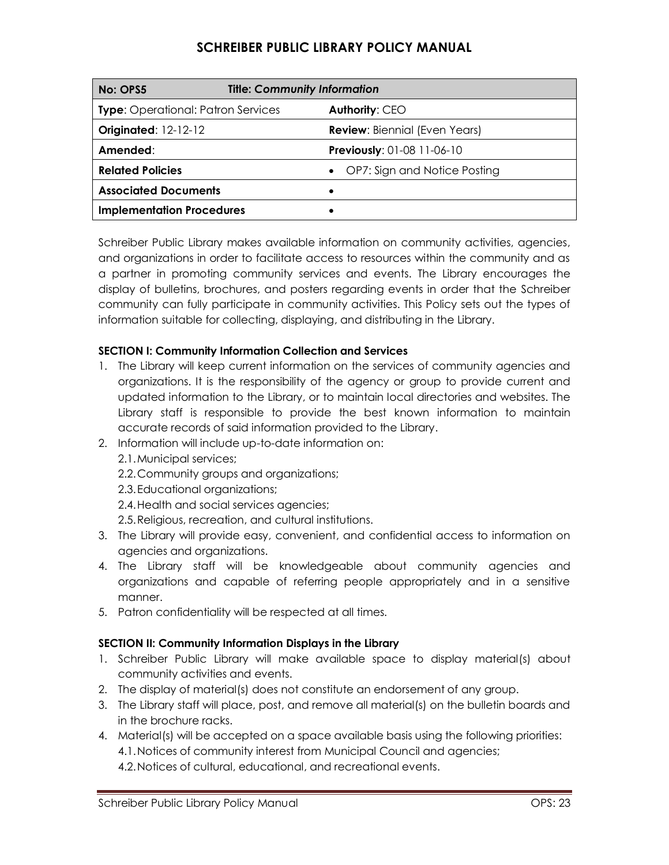| No: OPS5                                  | <b>Title: Community Information</b> |                                      |
|-------------------------------------------|-------------------------------------|--------------------------------------|
| <b>Type:</b> Operational: Patron Services |                                     | Authority: CEO                       |
| <b>Originated: 12-12-12</b>               |                                     | <b>Review: Biennial (Even Years)</b> |
| Amended:                                  |                                     | <b>Previously: 01-08 11-06-10</b>    |
| <b>Related Policies</b>                   |                                     | OP7: Sign and Notice Posting         |
| <b>Associated Documents</b>               |                                     |                                      |
| <b>Implementation Procedures</b>          |                                     |                                      |

Schreiber Public Library makes available information on community activities, agencies, and organizations in order to facilitate access to resources within the community and as a partner in promoting community services and events. The Library encourages the display of bulletins, brochures, and posters regarding events in order that the Schreiber community can fully participate in community activities. This Policy sets out the types of information suitable for collecting, displaying, and distributing in the Library.

#### **SECTION I: Community Information Collection and Services**

- 1. The Library will keep current information on the services of community agencies and organizations. It is the responsibility of the agency or group to provide current and updated information to the Library, or to maintain local directories and websites. The Library staff is responsible to provide the best known information to maintain accurate records of said information provided to the Library.
- 2. Information will include up-to-date information on:
	- 2.1.Municipal services;
	- 2.2.Community groups and organizations;
	- 2.3.Educational organizations;
	- 2.4.Health and social services agencies;
	- 2.5.Religious, recreation, and cultural institutions.
- 3. The Library will provide easy, convenient, and confidential access to information on agencies and organizations.
- 4. The Library staff will be knowledgeable about community agencies and organizations and capable of referring people appropriately and in a sensitive manner.
- 5. Patron confidentiality will be respected at all times.

#### **SECTION II: Community Information Displays in the Library**

- 1. Schreiber Public Library will make available space to display material(s) about community activities and events.
- 2. The display of material(s) does not constitute an endorsement of any group.
- 3. The Library staff will place, post, and remove all material(s) on the bulletin boards and in the brochure racks.
- 4. Material(s) will be accepted on a space available basis using the following priorities: 4.1.Notices of community interest from Municipal Council and agencies; 4.2.Notices of cultural, educational, and recreational events.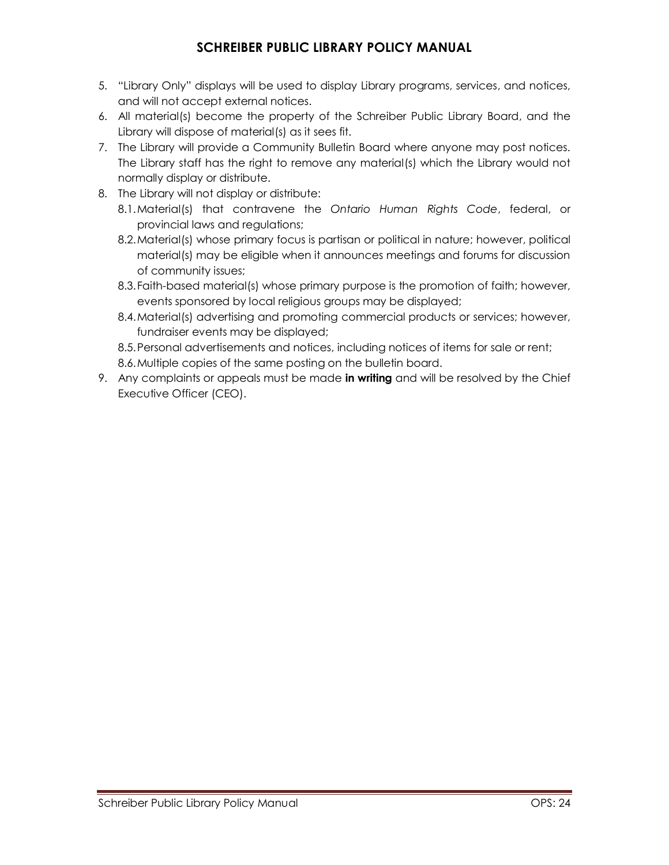- 5. "Library Only" displays will be used to display Library programs, services, and notices, and will not accept external notices.
- 6. All material(s) become the property of the Schreiber Public Library Board, and the Library will dispose of material(s) as it sees fit.
- 7. The Library will provide a Community Bulletin Board where anyone may post notices. The Library staff has the right to remove any material(s) which the Library would not normally display or distribute.
- 8. The Library will not display or distribute:
	- 8.1.Material(s) that contravene the *Ontario Human Rights Code*, federal, or provincial laws and regulations;
	- 8.2.Material(s) whose primary focus is partisan or political in nature; however, political material(s) may be eligible when it announces meetings and forums for discussion of community issues;
	- 8.3.Faith-based material(s) whose primary purpose is the promotion of faith; however, events sponsored by local religious groups may be displayed;
	- 8.4.Material(s) advertising and promoting commercial products or services; however, fundraiser events may be displayed;
	- 8.5.Personal advertisements and notices, including notices of items for sale or rent;
	- 8.6.Multiple copies of the same posting on the bulletin board.
- 9. Any complaints or appeals must be made **in writing** and will be resolved by the Chief Executive Officer (CEO).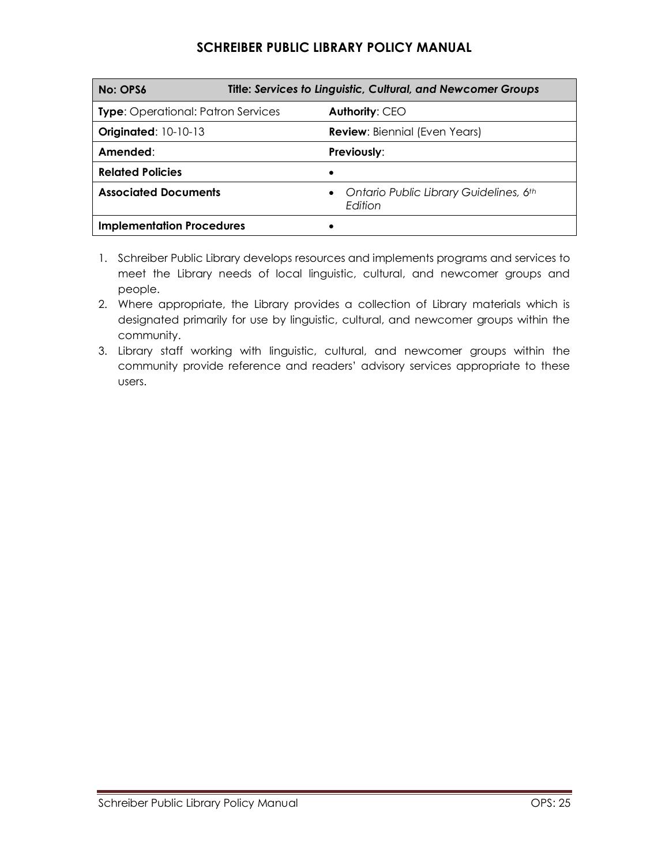| No: OPS6                                  | <b>Title: Services to Linguistic, Cultural, and Newcomer Groups</b> |  |
|-------------------------------------------|---------------------------------------------------------------------|--|
| <b>Type:</b> Operational: Patron Services | <b>Authority: CEO</b>                                               |  |
| <b>Originated: 10-10-13</b>               | <b>Review: Biennial (Even Years)</b>                                |  |
| Amended:                                  | <b>Previously:</b>                                                  |  |
| <b>Related Policies</b>                   |                                                                     |  |
| <b>Associated Documents</b>               | Ontario Public Library Guidelines, 6th<br>Edition                   |  |
| <b>Implementation Procedures</b>          |                                                                     |  |

- 1. Schreiber Public Library develops resources and implements programs and services to meet the Library needs of local linguistic, cultural, and newcomer groups and people.
- 2. Where appropriate, the Library provides a collection of Library materials which is designated primarily for use by linguistic, cultural, and newcomer groups within the community.
- 3. Library staff working with linguistic, cultural, and newcomer groups within the community provide reference and readers' advisory services appropriate to these users.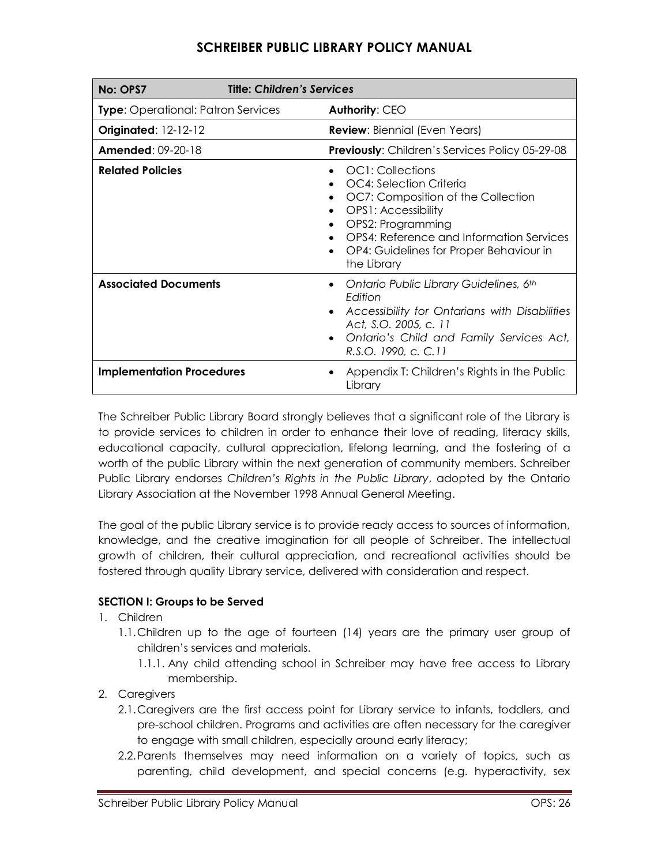| No: OPS7                                  | <b>Title: Children's Services</b>                                                                                                                                                                                                          |  |
|-------------------------------------------|--------------------------------------------------------------------------------------------------------------------------------------------------------------------------------------------------------------------------------------------|--|
| <b>Type:</b> Operational: Patron Services | Authority: CEO                                                                                                                                                                                                                             |  |
| <b>Originated: 12-12-12</b>               | <b>Review:</b> Biennial (Even Years)                                                                                                                                                                                                       |  |
| <b>Amended: 09-20-18</b>                  | <b>Previously:</b> Children's Services Policy 05-29-08                                                                                                                                                                                     |  |
| <b>Related Policies</b>                   | OC1: Collections<br>OC4: Selection Criteria<br>OC7: Composition of the Collection<br><b>OPS1: Accessibility</b><br>OPS2: Programming<br>OPS4: Reference and Information Services<br>OP4: Guidelines for Proper Behaviour in<br>the Library |  |
| <b>Associated Documents</b>               | Ontario Public Library Guidelines, 6th<br>$\bullet$<br>Edition<br>Accessibility for Ontarians with Disabilities<br>Act, S.O. 2005, c. 11<br>Ontario's Child and Family Services Act,<br>R.S.O. 1990, c. C.11                               |  |
| <b>Implementation Procedures</b>          | Appendix T: Children's Rights in the Public<br>Library                                                                                                                                                                                     |  |

The Schreiber Public Library Board strongly believes that a significant role of the Library is to provide services to children in order to enhance their love of reading, literacy skills, educational capacity, cultural appreciation, lifelong learning, and the fostering of a worth of the public Library within the next generation of community members. Schreiber Public Library endorses *Children's Rights in the Public Library*, adopted by the Ontario Library Association at the November 1998 Annual General Meeting.

The goal of the public Library service is to provide ready access to sources of information, knowledge, and the creative imagination for all people of Schreiber. The intellectual growth of children, their cultural appreciation, and recreational activities should be fostered through quality Library service, delivered with consideration and respect.

### **SECTION I: Groups to be Served**

- 1. Children
	- 1.1.Children up to the age of fourteen (14) years are the primary user group of children's services and materials.
		- 1.1.1. Any child attending school in Schreiber may have free access to Library membership.
- 2. Caregivers
	- 2.1.Caregivers are the first access point for Library service to infants, toddlers, and pre-school children. Programs and activities are often necessary for the caregiver to engage with small children, especially around early literacy;
	- 2.2.Parents themselves may need information on a variety of topics, such as parenting, child development, and special concerns (e.g. hyperactivity, sex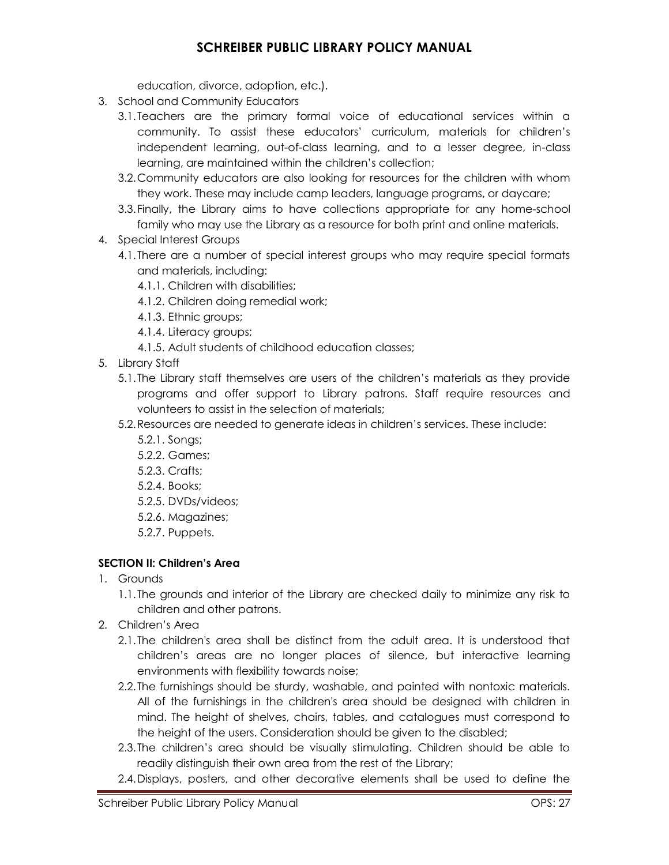education, divorce, adoption, etc.).

- 3. School and Community Educators
	- 3.1.Teachers are the primary formal voice of educational services within a community. To assist these educators' curriculum, materials for children's independent learning, out-of-class learning, and to a lesser degree, in-class learning, are maintained within the children's collection;
	- 3.2.Community educators are also looking for resources for the children with whom they work. These may include camp leaders, language programs, or daycare;
	- 3.3.Finally, the Library aims to have collections appropriate for any home-school family who may use the Library as a resource for both print and online materials.
- 4. Special Interest Groups
	- 4.1.There are a number of special interest groups who may require special formats and materials, including:
		- 4.1.1. Children with disabilities;
		- 4.1.2. Children doing remedial work;
		- 4.1.3. Ethnic groups;
		- 4.1.4. Literacy groups;
		- 4.1.5. Adult students of childhood education classes;
- 5. Library Staff
	- 5.1.The Library staff themselves are users of the children's materials as they provide programs and offer support to Library patrons. Staff require resources and volunteers to assist in the selection of materials;
	- 5.2.Resources are needed to generate ideas in children's services. These include:
		- 5.2.1. Songs;
		- 5.2.2. Games;
		- 5.2.3. Crafts;
		- 5.2.4. Books;
		- 5.2.5. DVDs/videos;
		- 5.2.6. Magazines;
		- 5.2.7. Puppets.

#### **SECTION II: Children's Area**

- 1. Grounds
	- 1.1.The grounds and interior of the Library are checked daily to minimize any risk to children and other patrons.
- 2. Children's Area
	- 2.1.The children's area shall be distinct from the adult area. It is understood that children's areas are no longer places of silence, but interactive learning environments with flexibility towards noise;
	- 2.2.The furnishings should be sturdy, washable, and painted with nontoxic materials. All of the furnishings in the children's area should be designed with children in mind. The height of shelves, chairs, tables, and catalogues must correspond to the height of the users. Consideration should be given to the disabled;
	- 2.3.The children's area should be visually stimulating. Children should be able to readily distinguish their own area from the rest of the Library;
	- 2.4.Displays, posters, and other decorative elements shall be used to define the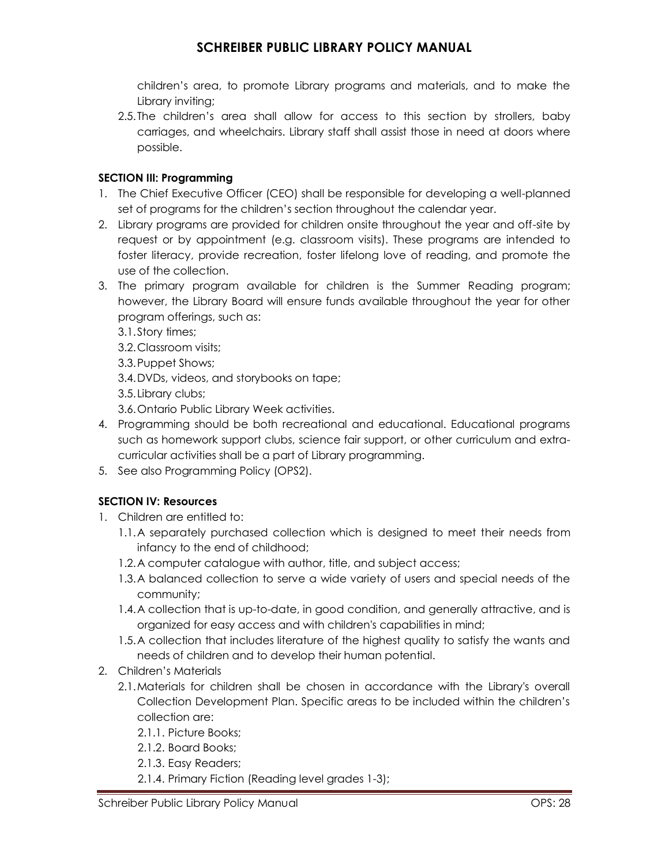children's area, to promote Library programs and materials, and to make the Library inviting;

2.5.The children's area shall allow for access to this section by strollers, baby carriages, and wheelchairs. Library staff shall assist those in need at doors where possible.

#### **SECTION III: Programming**

- 1. The Chief Executive Officer (CEO) shall be responsible for developing a well-planned set of programs for the children's section throughout the calendar year.
- 2. Library programs are provided for children onsite throughout the year and off-site by request or by appointment (e.g. classroom visits). These programs are intended to foster literacy, provide recreation, foster lifelong love of reading, and promote the use of the collection.
- 3. The primary program available for children is the Summer Reading program; however, the Library Board will ensure funds available throughout the year for other program offerings, such as:
	- 3.1.Story times;
	- 3.2.Classroom visits;
	- 3.3.Puppet Shows;
	- 3.4.DVDs, videos, and storybooks on tape;
	- 3.5.Library clubs;
	- 3.6.Ontario Public Library Week activities.
- 4. Programming should be both recreational and educational. Educational programs such as homework support clubs, science fair support, or other curriculum and extracurricular activities shall be a part of Library programming.
- 5. See also Programming Policy (OPS2).

### **SECTION IV: Resources**

- 1. Children are entitled to:
	- 1.1.A separately purchased collection which is designed to meet their needs from infancy to the end of childhood;
	- 1.2.A computer catalogue with author, title, and subject access;
	- 1.3.A balanced collection to serve a wide variety of users and special needs of the community;
	- 1.4.A collection that is up-to-date, in good condition, and generally attractive, and is organized for easy access and with children's capabilities in mind;
	- 1.5.A collection that includes literature of the highest quality to satisfy the wants and needs of children and to develop their human potential.
- 2. Children's Materials
	- 2.1.Materials for children shall be chosen in accordance with the Library's overall Collection Development Plan. Specific areas to be included within the children's collection are:
		- 2.1.1. Picture Books;
		- 2.1.2. Board Books;
		- 2.1.3. Easy Readers;
		- 2.1.4. Primary Fiction (Reading level grades 1-3);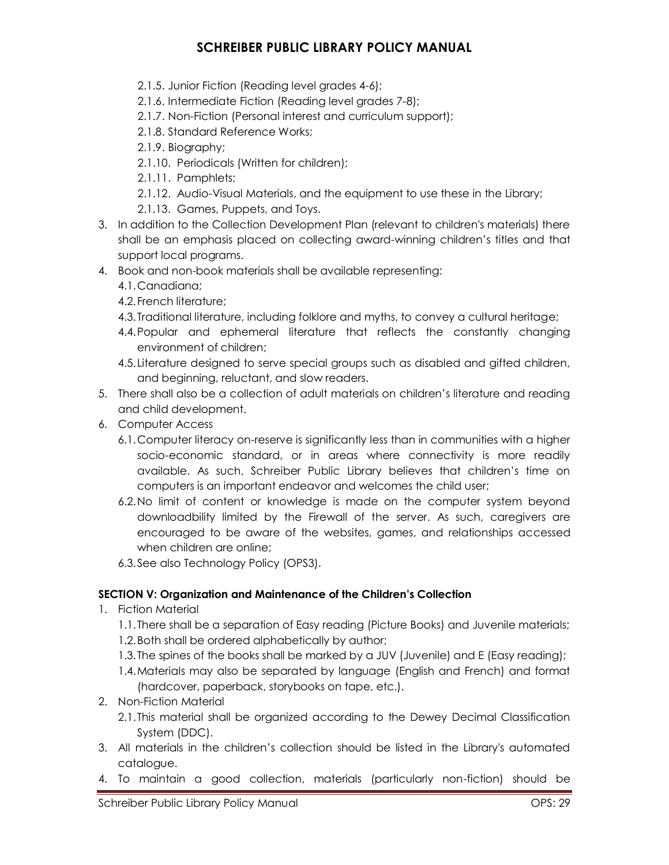- 2.1.5. Junior Fiction (Reading level grades 4-6);
- 2.1.6. Intermediate Fiction (Reading level grades 7-8);
- 2.1.7. Non-Fiction (Personal interest and curriculum support);
- 2.1.8. Standard Reference Works;
- 2.1.9. Biography;
- 2.1.10. Periodicals (Written for children);
- 2.1.11. Pamphlets;
- 2.1.12. Audio-Visual Materials, and the equipment to use these in the Library;
- 2.1.13. Games, Puppets, and Toys.
- 3. In addition to the Collection Development Plan (relevant to children's materials) there shall be an emphasis placed on collecting award-winning children's titles and that support local programs.
- 4. Book and non-book materials shall be available representing:
	- 4.1.Canadiana;
	- 4.2.French literature;
	- 4.3.Traditional literature, including folklore and myths, to convey a cultural heritage;
	- 4.4.Popular and ephemeral literature that reflects the constantly changing environment of children;
	- 4.5.Literature designed to serve special groups such as disabled and gifted children, and beginning, reluctant, and slow readers.
- 5. There shall also be a collection of adult materials on children's literature and reading and child development.
- 6. Computer Access
	- 6.1.Computer literacy on-reserve is significantly less than in communities with a higher socio-economic standard, or in areas where connectivity is more readily available. As such, Schreiber Public Library believes that children's time on computers is an important endeavor and welcomes the child user;
	- 6.2.No limit of content or knowledge is made on the computer system beyond downloadbility limited by the Firewall of the server. As such, caregivers are encouraged to be aware of the websites, games, and relationships accessed when children are online;
	- 6.3.See also Technology Policy (OPS3).

### **SECTION V: Organization and Maintenance of the Children's Collection**

- 1. Fiction Material
	- 1.1.There shall be a separation of Easy reading (Picture Books) and Juvenile materials;
	- 1.2.Both shall be ordered alphabetically by author;
	- 1.3.The spines of the books shall be marked by a JUV (Juvenile) and E (Easy reading);
	- 1.4.Materials may also be separated by language (English and French) and format (hardcover, paperback, storybooks on tape, etc.).
- 2. Non-Fiction Material
	- 2.1.This material shall be organized according to the Dewey Decimal Classification System (DDC).
- 3. All materials in the children's collection should be listed in the Library's automated catalogue.
- 4. To maintain a good collection, materials (particularly non-fiction) should be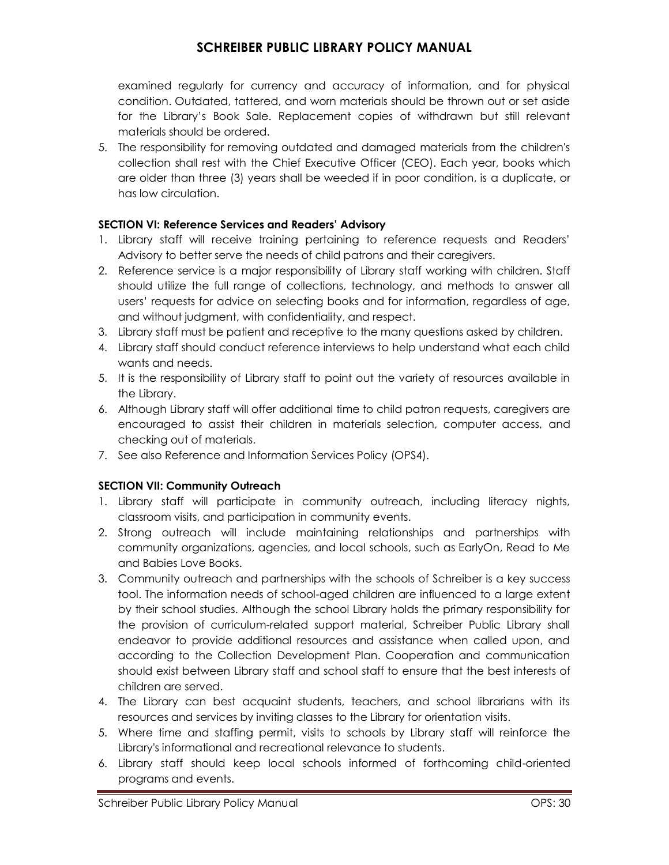examined regularly for currency and accuracy of information, and for physical condition. Outdated, tattered, and worn materials should be thrown out or set aside for the Library's Book Sale. Replacement copies of withdrawn but still relevant materials should be ordered.

5. The responsibility for removing outdated and damaged materials from the children's collection shall rest with the Chief Executive Officer (CEO). Each year, books which are older than three (3) years shall be weeded if in poor condition, is a duplicate, or has low circulation.

### **SECTION VI: Reference Services and Readers' Advisory**

- 1. Library staff will receive training pertaining to reference requests and Readers' Advisory to better serve the needs of child patrons and their caregivers.
- 2. Reference service is a major responsibility of Library staff working with children. Staff should utilize the full range of collections, technology, and methods to answer all users' requests for advice on selecting books and for information, regardless of age, and without judgment, with confidentiality, and respect.
- 3. Library staff must be patient and receptive to the many questions asked by children.
- 4. Library staff should conduct reference interviews to help understand what each child wants and needs.
- 5. It is the responsibility of Library staff to point out the variety of resources available in the Library.
- 6. Although Library staff will offer additional time to child patron requests, caregivers are encouraged to assist their children in materials selection, computer access, and checking out of materials.
- 7. See also Reference and Information Services Policy (OPS4).

#### **SECTION VII: Community Outreach**

- 1. Library staff will participate in community outreach, including literacy nights, classroom visits, and participation in community events.
- 2. Strong outreach will include maintaining relationships and partnerships with community organizations, agencies, and local schools, such as EarlyOn, Read to Me and Babies Love Books.
- 3. Community outreach and partnerships with the schools of Schreiber is a key success tool. The information needs of school-aged children are influenced to a large extent by their school studies. Although the school Library holds the primary responsibility for the provision of curriculum-related support material, Schreiber Public Library shall endeavor to provide additional resources and assistance when called upon, and according to the Collection Development Plan. Cooperation and communication should exist between Library staff and school staff to ensure that the best interests of children are served.
- 4. The Library can best acquaint students, teachers, and school librarians with its resources and services by inviting classes to the Library for orientation visits.
- 5. Where time and staffing permit, visits to schools by Library staff will reinforce the Library's informational and recreational relevance to students.
- 6. Library staff should keep local schools informed of forthcoming child-oriented programs and events.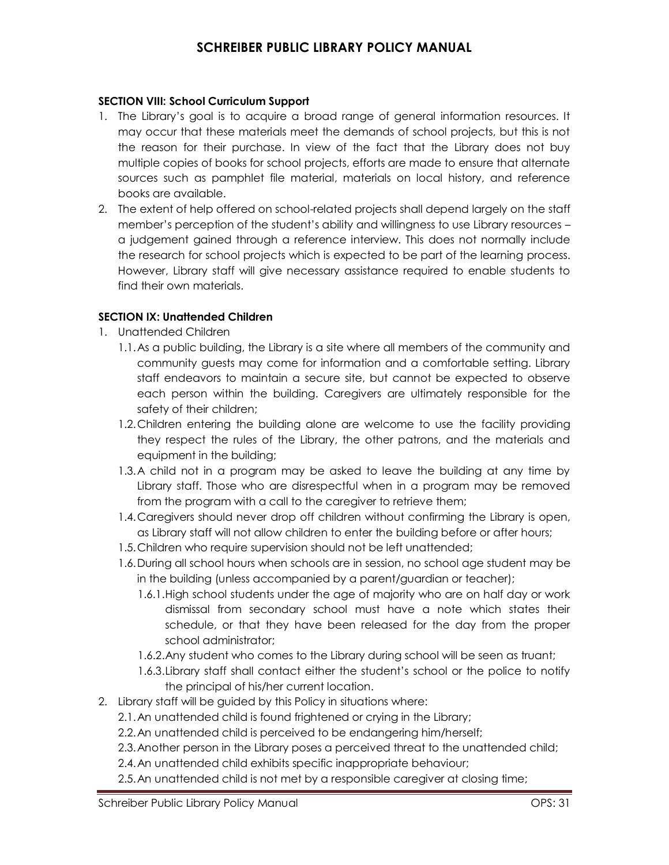#### **SECTION VIII: School Curriculum Support**

- 1. The Library's goal is to acquire a broad range of general information resources. It may occur that these materials meet the demands of school projects, but this is not the reason for their purchase. In view of the fact that the Library does not buy multiple copies of books for school projects, efforts are made to ensure that alternate sources such as pamphlet file material, materials on local history, and reference books are available.
- 2. The extent of help offered on school-related projects shall depend largely on the staff member's perception of the student's ability and willingness to use Library resources – a judgement gained through a reference interview. This does not normally include the research for school projects which is expected to be part of the learning process. However, Library staff will give necessary assistance required to enable students to find their own materials.

#### **SECTION IX: Unattended Children**

- 1. Unattended Children
	- 1.1.As a public building, the Library is a site where all members of the community and community guests may come for information and a comfortable setting. Library staff endeavors to maintain a secure site, but cannot be expected to observe each person within the building. Caregivers are ultimately responsible for the safety of their children;
	- 1.2.Children entering the building alone are welcome to use the facility providing they respect the rules of the Library, the other patrons, and the materials and equipment in the building;
	- 1.3.A child not in a program may be asked to leave the building at any time by Library staff. Those who are disrespectful when in a program may be removed from the program with a call to the caregiver to retrieve them;
	- 1.4.Caregivers should never drop off children without confirming the Library is open, as Library staff will not allow children to enter the building before or after hours;
	- 1.5.Children who require supervision should not be left unattended;
	- 1.6.During all school hours when schools are in session, no school age student may be in the building (unless accompanied by a parent/guardian or teacher);
		- 1.6.1.High school students under the age of majority who are on half day or work dismissal from secondary school must have a note which states their schedule, or that they have been released for the day from the proper school administrator;
		- 1.6.2.Any student who comes to the Library during school will be seen as truant;
		- 1.6.3.Library staff shall contact either the student's school or the police to notify the principal of his/her current location.
- 2. Library staff will be guided by this Policy in situations where:
	- 2.1.An unattended child is found frightened or crying in the Library;
	- 2.2.An unattended child is perceived to be endangering him/herself;
	- 2.3.Another person in the Library poses a perceived threat to the unattended child;
	- 2.4.An unattended child exhibits specific inappropriate behaviour;
	- 2.5.An unattended child is not met by a responsible caregiver at closing time;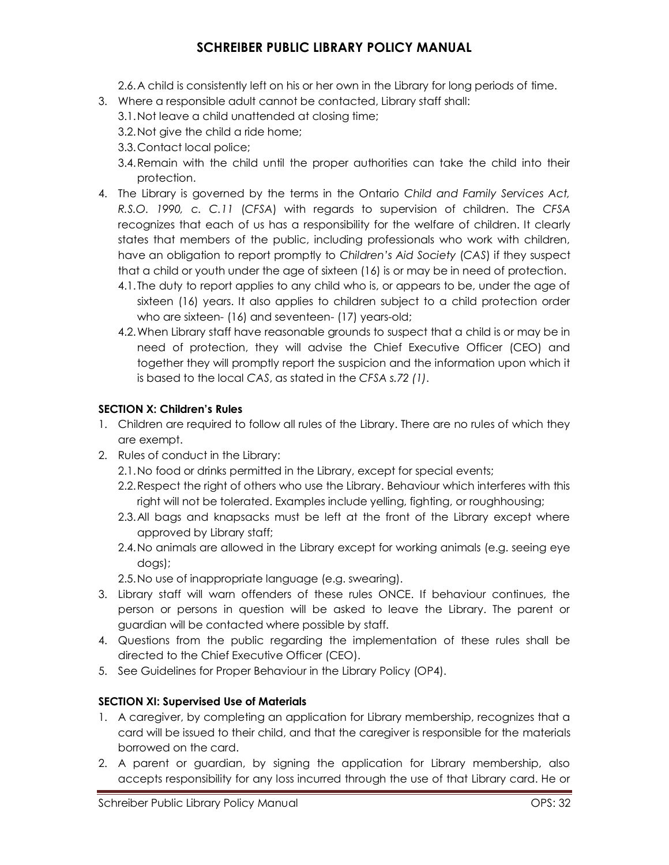2.6.A child is consistently left on his or her own in the Library for long periods of time.

- 3. Where a responsible adult cannot be contacted, Library staff shall:
	- 3.1.Not leave a child unattended at closing time;
	- 3.2.Not give the child a ride home;
	- 3.3.Contact local police;
	- 3.4.Remain with the child until the proper authorities can take the child into their protection.
- 4. The Library is governed by the terms in the Ontario *Child and Family Services Act, R.S.O. 1990, c. C.11* (*CFSA*) with regards to supervision of children. The *CFSA*  recognizes that each of us has a responsibility for the welfare of children. It clearly states that members of the public, including professionals who work with children, have an obligation to report promptly to *Children's Aid Society* (*CAS*) if they suspect that a child or youth under the age of sixteen (16) is or may be in need of protection.
	- 4.1.The duty to report applies to any child who is, or appears to be, under the age of sixteen (16) years. It also applies to children subject to a child protection order who are sixteen- (16) and seventeen- (17) years-old;
	- 4.2.When Library staff have reasonable grounds to suspect that a child is or may be in need of protection, they will advise the Chief Executive Officer (CEO) and together they will promptly report the suspicion and the information upon which it is based to the local *CAS*, as stated in the *CFSA s.72 (1)*.

### **SECTION X: Children's Rules**

- 1. Children are required to follow all rules of the Library. There are no rules of which they are exempt.
- 2. Rules of conduct in the Library:
	- 2.1.No food or drinks permitted in the Library, except for special events;
	- 2.2.Respect the right of others who use the Library. Behaviour which interferes with this right will not be tolerated. Examples include yelling, fighting, or roughhousing;
	- 2.3.All bags and knapsacks must be left at the front of the Library except where approved by Library staff;
	- 2.4.No animals are allowed in the Library except for working animals (e.g. seeing eye dogs);
	- 2.5.No use of inappropriate language (e.g. swearing).
- 3. Library staff will warn offenders of these rules ONCE. If behaviour continues, the person or persons in question will be asked to leave the Library. The parent or guardian will be contacted where possible by staff.
- 4. Questions from the public regarding the implementation of these rules shall be directed to the Chief Executive Officer (CEO).
- 5. See Guidelines for Proper Behaviour in the Library Policy (OP4).

### **SECTION XI: Supervised Use of Materials**

- 1. A caregiver, by completing an application for Library membership, recognizes that a card will be issued to their child, and that the caregiver is responsible for the materials borrowed on the card.
- 2. A parent or guardian, by signing the application for Library membership, also accepts responsibility for any loss incurred through the use of that Library card. He or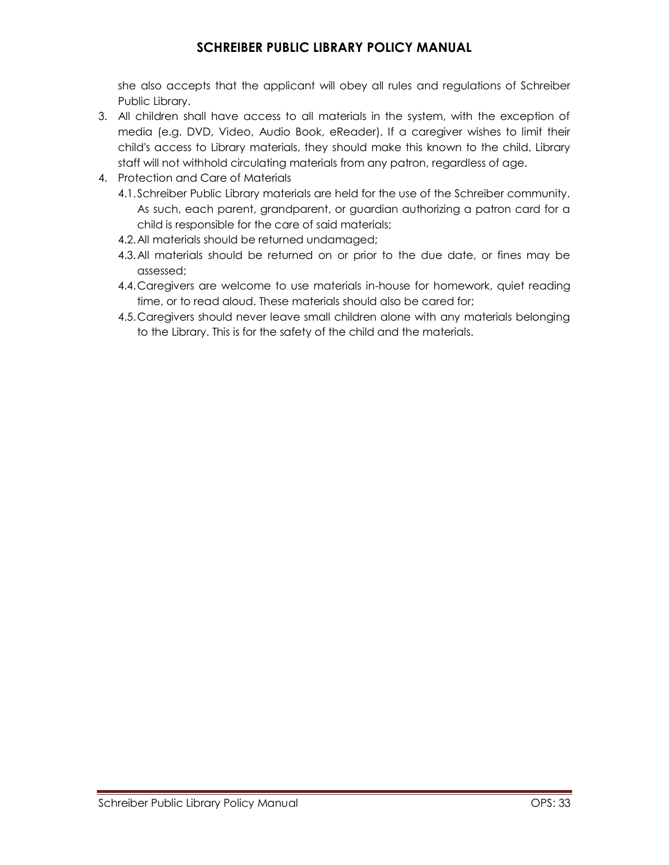she also accepts that the applicant will obey all rules and regulations of Schreiber Public Library.

- 3. All children shall have access to all materials in the system, with the exception of media (e.g. DVD, Video, Audio Book, eReader). If a caregiver wishes to limit their child's access to Library materials, they should make this known to the child. Library staff will not withhold circulating materials from any patron, regardless of age.
- 4. Protection and Care of Materials
	- 4.1.Schreiber Public Library materials are held for the use of the Schreiber community. As such, each parent, grandparent, or guardian authorizing a patron card for a child is responsible for the care of said materials;
	- 4.2.All materials should be returned undamaged;
	- 4.3.All materials should be returned on or prior to the due date, or fines may be assessed;
	- 4.4.Caregivers are welcome to use materials in-house for homework, quiet reading time, or to read aloud. These materials should also be cared for;
	- 4.5.Caregivers should never leave small children alone with any materials belonging to the Library. This is for the safety of the child and the materials.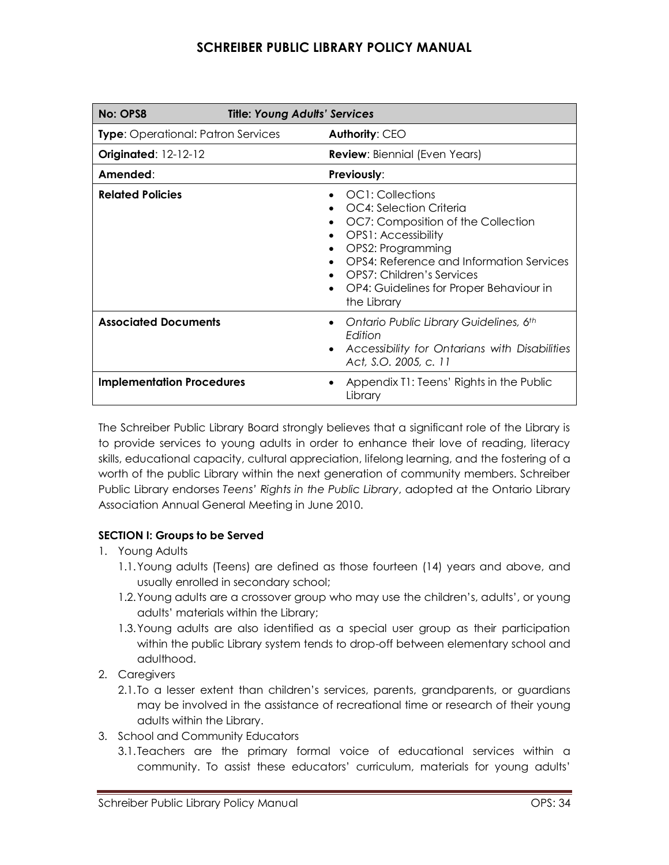| No: OPS8                                  | <b>Title: Young Adults' Services</b> |                                                                                                                                                                                                                                                                           |
|-------------------------------------------|--------------------------------------|---------------------------------------------------------------------------------------------------------------------------------------------------------------------------------------------------------------------------------------------------------------------------|
| <b>Type:</b> Operational: Patron Services |                                      | <b>Authority: CEO</b>                                                                                                                                                                                                                                                     |
| <b>Originated: 12-12-12</b>               |                                      | <b>Review:</b> Biennial (Even Years)                                                                                                                                                                                                                                      |
| Amended:                                  |                                      | <b>Previously:</b>                                                                                                                                                                                                                                                        |
| <b>Related Policies</b>                   |                                      | OC1: Collections<br>OC4: Selection Criteria<br>OC7: Composition of the Collection<br><b>OPS1: Accessibility</b><br>OPS2: Programming<br>OPS4: Reference and Information Services<br>• OPS7: Children's Services<br>OP4: Guidelines for Proper Behaviour in<br>the Library |
| <b>Associated Documents</b>               |                                      | Ontario Public Library Guidelines, 6th<br>Edition<br>Accessibility for Ontarians with Disabilities<br>Act, S.O. 2005, c. 11                                                                                                                                               |
| <b>Implementation Procedures</b>          |                                      | Appendix T1: Teens' Rights in the Public<br>Library                                                                                                                                                                                                                       |

The Schreiber Public Library Board strongly believes that a significant role of the Library is to provide services to young adults in order to enhance their love of reading, literacy skills, educational capacity, cultural appreciation, lifelong learning, and the fostering of a worth of the public Library within the next generation of community members. Schreiber Public Library endorses *Teens' Rights in the Public Library*, adopted at the Ontario Library Association Annual General Meeting in June 2010.

### **SECTION I: Groups to be Served**

- 1. Young Adults
	- 1.1.Young adults (Teens) are defined as those fourteen (14) years and above, and usually enrolled in secondary school;
	- 1.2.Young adults are a crossover group who may use the children's, adults', or young adults' materials within the Library;
	- 1.3.Young adults are also identified as a special user group as their participation within the public Library system tends to drop-off between elementary school and adulthood.
- 2. Caregivers
	- 2.1.To a lesser extent than children's services, parents, grandparents, or guardians may be involved in the assistance of recreational time or research of their young adults within the Library.
- 3. School and Community Educators
	- 3.1.Teachers are the primary formal voice of educational services within a community. To assist these educators' curriculum, materials for young adults'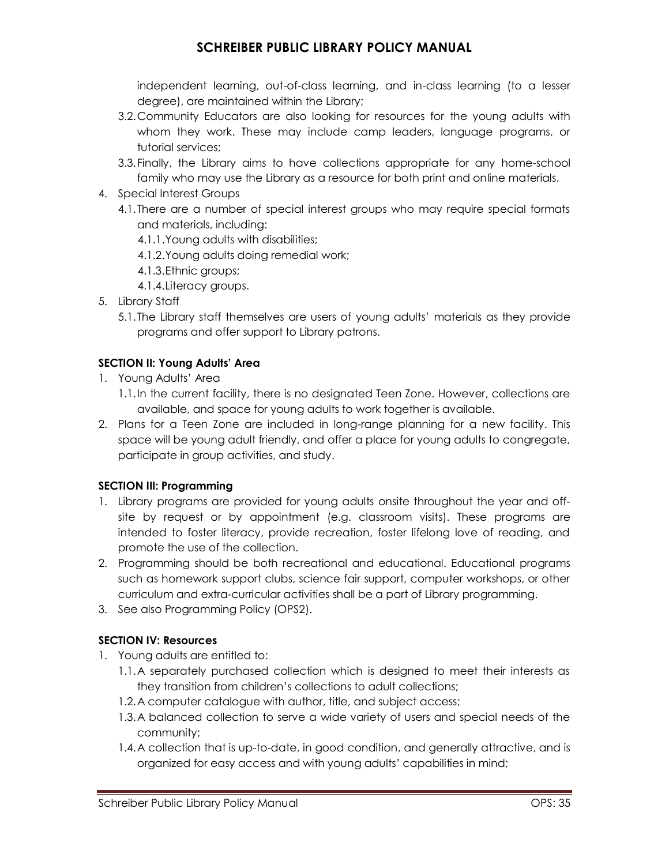independent learning, out-of-class learning, and in-class learning (to a lesser degree), are maintained within the Library;

- 3.2.Community Educators are also looking for resources for the young adults with whom they work. These may include camp leaders, language programs, or tutorial services;
- 3.3.Finally, the Library aims to have collections appropriate for any home-school family who may use the Library as a resource for both print and online materials.
- 4. Special Interest Groups
	- 4.1.There are a number of special interest groups who may require special formats and materials, including:
		- 4.1.1.Young adults with disabilities;
		- 4.1.2.Young adults doing remedial work;
		- 4.1.3.Ethnic groups;
		- 4.1.4.Literacy groups.
- 5. Library Staff
	- 5.1.The Library staff themselves are users of young adults' materials as they provide programs and offer support to Library patrons.

### **SECTION II: Young Adults' Area**

- 1. Young Adults' Area
	- 1.1.In the current facility, there is no designated Teen Zone. However, collections are available, and space for young adults to work together is available.
- 2. Plans for a Teen Zone are included in long-range planning for a new facility. This space will be young adult friendly, and offer a place for young adults to congregate, participate in group activities, and study.

#### **SECTION III: Programming**

- 1. Library programs are provided for young adults onsite throughout the year and offsite by request or by appointment (e.g. classroom visits). These programs are intended to foster literacy, provide recreation, foster lifelong love of reading, and promote the use of the collection.
- 2. Programming should be both recreational and educational. Educational programs such as homework support clubs, science fair support, computer workshops, or other curriculum and extra-curricular activities shall be a part of Library programming.
- 3. See also Programming Policy (OPS2).

#### **SECTION IV: Resources**

- 1. Young adults are entitled to:
	- 1.1.A separately purchased collection which is designed to meet their interests as they transition from children's collections to adult collections;
	- 1.2.A computer catalogue with author, title, and subject access;
	- 1.3.A balanced collection to serve a wide variety of users and special needs of the community;
	- 1.4.A collection that is up-to-date, in good condition, and generally attractive, and is organized for easy access and with young adults' capabilities in mind;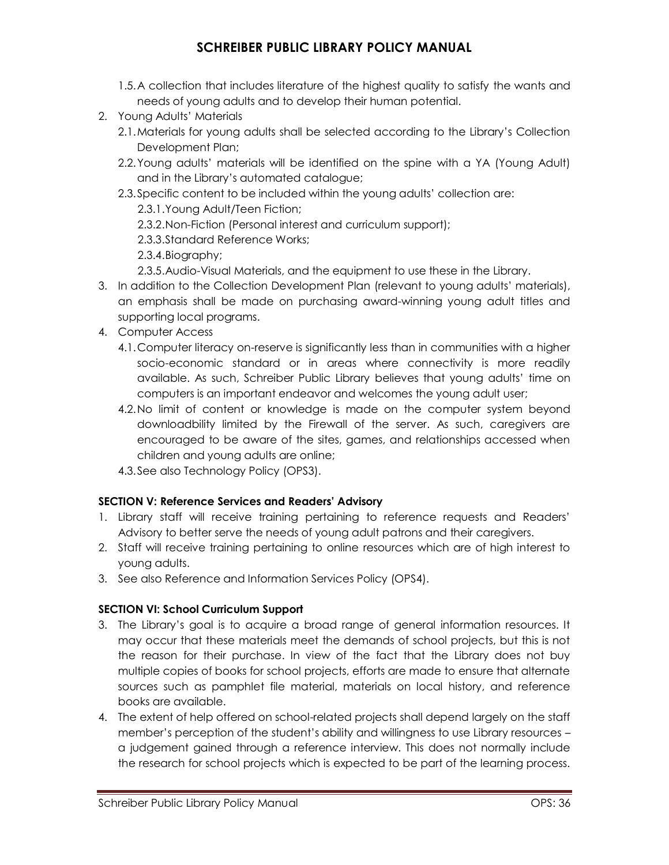- 1.5.A collection that includes literature of the highest quality to satisfy the wants and needs of young adults and to develop their human potential.
- 2. Young Adults' Materials
	- 2.1.Materials for young adults shall be selected according to the Library's Collection Development Plan;
	- 2.2.Young adults' materials will be identified on the spine with a YA (Young Adult) and in the Library's automated catalogue;
	- 2.3.Specific content to be included within the young adults' collection are: 2.3.1.Young Adult/Teen Fiction;
		- 2.3.2.Non-Fiction (Personal interest and curriculum support);
		- 2.3.3.Standard Reference Works;
		- 2.3.4.Biography;
		- 2.3.5.Audio-Visual Materials, and the equipment to use these in the Library.
- 3. In addition to the Collection Development Plan (relevant to young adults' materials), an emphasis shall be made on purchasing award-winning young adult titles and supporting local programs.
- 4. Computer Access
	- 4.1.Computer literacy on-reserve is significantly less than in communities with a higher socio-economic standard or in areas where connectivity is more readily available. As such, Schreiber Public Library believes that young adults' time on computers is an important endeavor and welcomes the young adult user;
	- 4.2.No limit of content or knowledge is made on the computer system beyond downloadbility limited by the Firewall of the server. As such, caregivers are encouraged to be aware of the sites, games, and relationships accessed when children and young adults are online;
	- 4.3.See also Technology Policy (OPS3).

#### **SECTION V: Reference Services and Readers' Advisory**

- 1. Library staff will receive training pertaining to reference requests and Readers' Advisory to better serve the needs of young adult patrons and their caregivers.
- 2. Staff will receive training pertaining to online resources which are of high interest to young adults.
- 3. See also Reference and Information Services Policy (OPS4).

#### **SECTION VI: School Curriculum Support**

- 3. The Library's goal is to acquire a broad range of general information resources. It may occur that these materials meet the demands of school projects, but this is not the reason for their purchase. In view of the fact that the Library does not buy multiple copies of books for school projects, efforts are made to ensure that alternate sources such as pamphlet file material, materials on local history, and reference books are available.
- 4. The extent of help offered on school-related projects shall depend largely on the staff member's perception of the student's ability and willingness to use Library resources – a judgement gained through a reference interview. This does not normally include the research for school projects which is expected to be part of the learning process.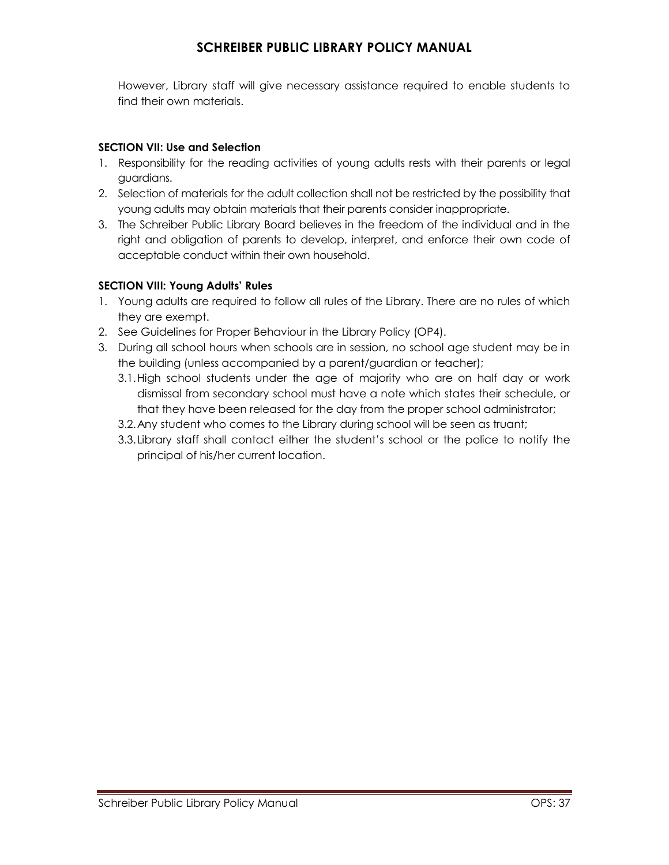However, Library staff will give necessary assistance required to enable students to find their own materials.

#### **SECTION VII: Use and Selection**

- 1. Responsibility for the reading activities of young adults rests with their parents or legal guardians.
- 2. Selection of materials for the adult collection shall not be restricted by the possibility that young adults may obtain materials that their parents consider inappropriate.
- 3. The Schreiber Public Library Board believes in the freedom of the individual and in the right and obligation of parents to develop, interpret, and enforce their own code of acceptable conduct within their own household.

#### **SECTION VIII: Young Adults' Rules**

- 1. Young adults are required to follow all rules of the Library. There are no rules of which they are exempt.
- 2. See Guidelines for Proper Behaviour in the Library Policy (OP4).
- 3. During all school hours when schools are in session, no school age student may be in the building (unless accompanied by a parent/guardian or teacher);
	- 3.1.High school students under the age of majority who are on half day or work dismissal from secondary school must have a note which states their schedule, or that they have been released for the day from the proper school administrator;
	- 3.2.Any student who comes to the Library during school will be seen as truant;
	- 3.3.Library staff shall contact either the student's school or the police to notify the principal of his/her current location.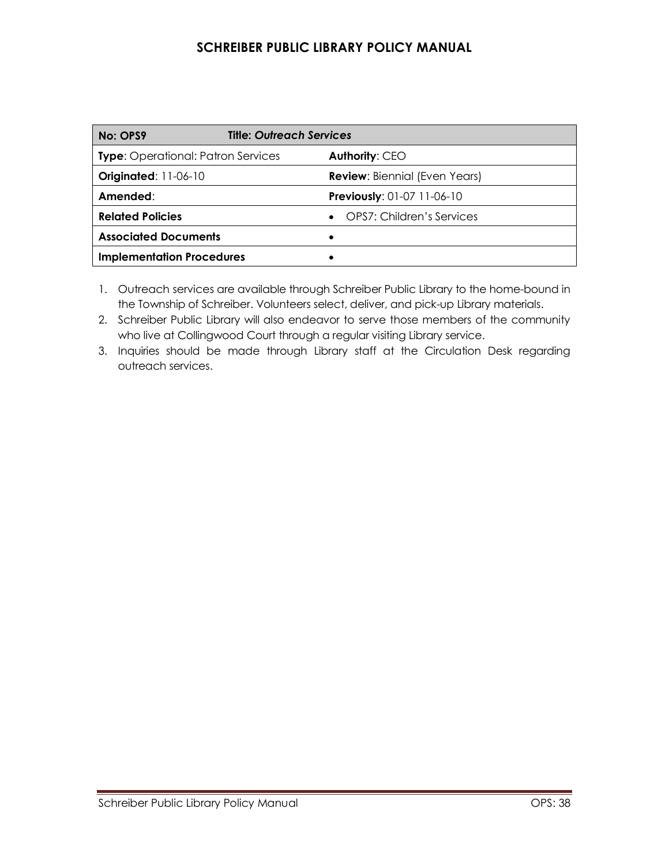| No: OPS9                                  | <b>Title: Outreach Services</b>        |  |
|-------------------------------------------|----------------------------------------|--|
| <b>Type:</b> Operational: Patron Services | Authority: CEO                         |  |
| <b>Originated: 11-06-10</b>               | <b>Review:</b> Biennial (Even Years)   |  |
| Amended:                                  | <b>Previously: 01-07 11-06-10</b>      |  |
| <b>Related Policies</b>                   | OPS7: Children's Services<br>$\bullet$ |  |
| <b>Associated Documents</b>               |                                        |  |
| <b>Implementation Procedures</b>          |                                        |  |

1. Outreach services are available through Schreiber Public Library to the home-bound in the Township of Schreiber. Volunteers select, deliver, and pick-up Library materials.

2. Schreiber Public Library will also endeavor to serve those members of the community who live at Collingwood Court through a regular visiting Library service.

3. Inquiries should be made through Library staff at the Circulation Desk regarding outreach services.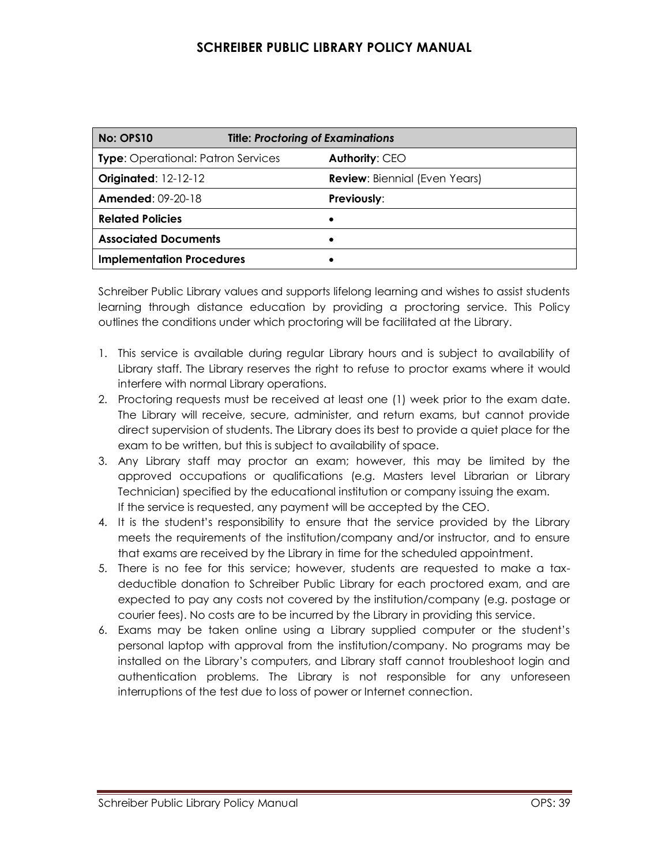| No: OPS10                                 | <b>Title: Proctoring of Examinations</b> |                                      |
|-------------------------------------------|------------------------------------------|--------------------------------------|
| <b>Type:</b> Operational: Patron Services |                                          | Authority: CEO                       |
| <b>Originated: 12-12-12</b>               |                                          | <b>Review:</b> Biennial (Even Years) |
| <b>Amended: 09-20-18</b>                  |                                          | Previously:                          |
| <b>Related Policies</b>                   |                                          |                                      |
| <b>Associated Documents</b>               |                                          |                                      |
| <b>Implementation Procedures</b>          |                                          |                                      |

Schreiber Public Library values and supports lifelong learning and wishes to assist students learning through distance education by providing a proctoring service. This Policy outlines the conditions under which proctoring will be facilitated at the Library.

- 1. This service is available during regular Library hours and is subject to availability of Library staff. The Library reserves the right to refuse to proctor exams where it would interfere with normal Library operations.
- 2. Proctoring requests must be received at least one (1) week prior to the exam date. The Library will receive, secure, administer, and return exams, but cannot provide direct supervision of students. The Library does its best to provide a quiet place for the exam to be written, but this is subject to availability of space.
- 3. Any Library staff may proctor an exam; however, this may be limited by the approved occupations or qualifications (e.g. Masters level Librarian or Library Technician) specified by the educational institution or company issuing the exam. If the service is requested, any payment will be accepted by the CEO.
- 4. It is the student's responsibility to ensure that the service provided by the Library meets the requirements of the institution/company and/or instructor, and to ensure that exams are received by the Library in time for the scheduled appointment.
- 5. There is no fee for this service; however, students are requested to make a taxdeductible donation to Schreiber Public Library for each proctored exam, and are expected to pay any costs not covered by the institution/company (e.g. postage or courier fees). No costs are to be incurred by the Library in providing this service.
- 6. Exams may be taken online using a Library supplied computer or the student's personal laptop with approval from the institution/company. No programs may be installed on the Library's computers, and Library staff cannot troubleshoot login and authentication problems. The Library is not responsible for any unforeseen interruptions of the test due to loss of power or Internet connection.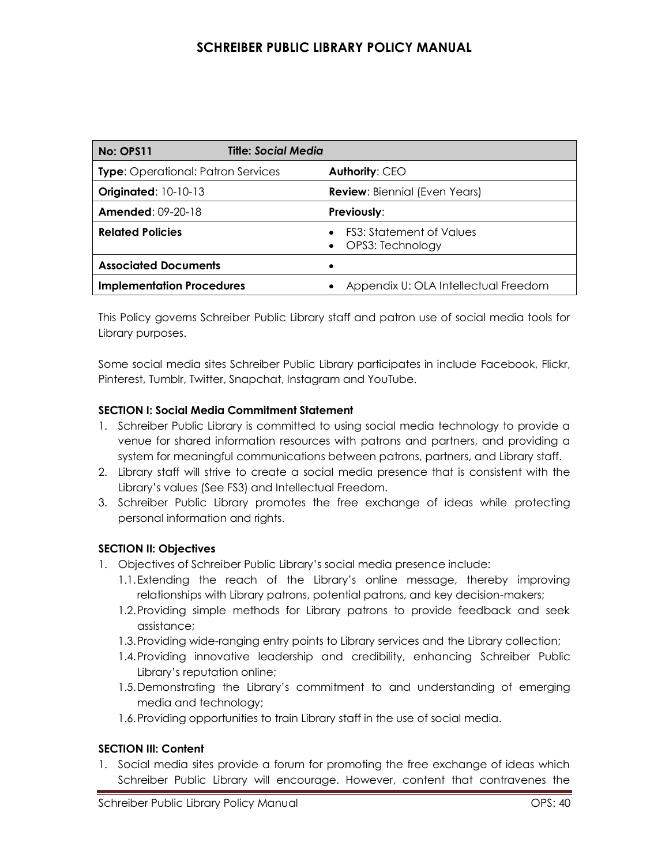| No: OPS11                                 | Title: Social Media |                                                                  |
|-------------------------------------------|---------------------|------------------------------------------------------------------|
| <b>Type:</b> Operational: Patron Services |                     | <b>Authority: CEO</b>                                            |
| <b>Originated: 10-10-13</b>               |                     | <b>Review:</b> Biennial (Even Years)                             |
| <b>Amended: 09-20-18</b>                  |                     | <b>Previously:</b>                                               |
| <b>Related Policies</b>                   |                     | <b>FS3: Statement of Values</b><br>$\bullet$<br>OPS3: Technology |
| <b>Associated Documents</b>               |                     |                                                                  |
| <b>Implementation Procedures</b>          |                     | Appendix U: OLA Intellectual Freedom                             |

This Policy governs Schreiber Public Library staff and patron use of social media tools for Library purposes.

Some social media sites Schreiber Public Library participates in include Facebook, Flickr, Pinterest, Tumblr, Twitter, Snapchat, Instagram and YouTube.

#### **SECTION I: Social Media Commitment Statement**

- 1. Schreiber Public Library is committed to using social media technology to provide a venue for shared information resources with patrons and partners, and providing a system for meaningful communications between patrons, partners, and Library staff.
- 2. Library staff will strive to create a social media presence that is consistent with the Library's values (See FS3) and Intellectual Freedom.
- 3. Schreiber Public Library promotes the free exchange of ideas while protecting personal information and rights.

#### **SECTION II: Objectives**

- 1. Objectives of Schreiber Public Library's social media presence include:
	- 1.1.Extending the reach of the Library's online message, thereby improving relationships with Library patrons, potential patrons, and key decision-makers;
	- 1.2.Providing simple methods for Library patrons to provide feedback and seek assistance;
	- 1.3.Providing wide-ranging entry points to Library services and the Library collection;
	- 1.4.Providing innovative leadership and credibility, enhancing Schreiber Public Library's reputation online;
	- 1.5.Demonstrating the Library's commitment to and understanding of emerging media and technology;
	- 1.6.Providing opportunities to train Library staff in the use of social media.

#### **SECTION III: Content**

1. Social media sites provide a forum for promoting the free exchange of ideas which Schreiber Public Library will encourage. However, content that contravenes the